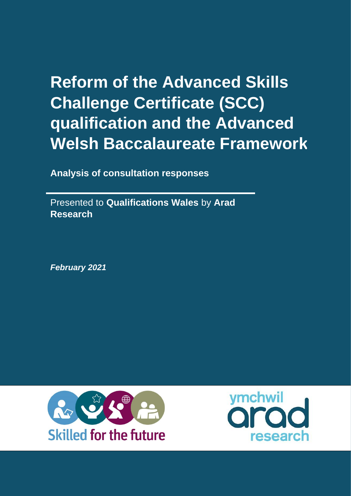# **Reform of the Advanced Skills Challenge Certificate (SCC) qualification and the Advanced Welsh Baccalaureate Framework**

**Analysis of consultation responses**

Presented to **Qualifications Wales** by **Arad Research**

*February 2021*



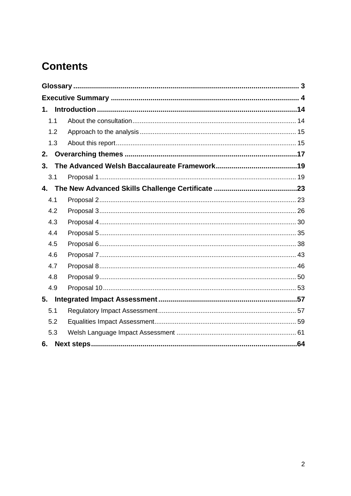# **Contents**

| 1.1            |  |
|----------------|--|
| 1.2            |  |
| 1.3            |  |
| 2.             |  |
| 3 <sub>1</sub> |  |
| 3.1            |  |
|                |  |
| 4.1            |  |
| 4.2            |  |
| 4.3            |  |
| 4.4            |  |
| 4.5            |  |
| 4.6            |  |
| 4.7            |  |
| 4.8            |  |
| 4.9            |  |
|                |  |
| 5.1            |  |
| 5.2            |  |
| 5.3            |  |
| 6.             |  |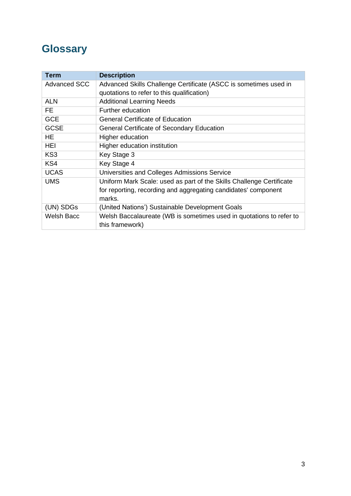# <span id="page-2-0"></span>**Glossary**

| <b>Term</b>         | <b>Description</b>                                                   |
|---------------------|----------------------------------------------------------------------|
| <b>Advanced SCC</b> | Advanced Skills Challenge Certificate (ASCC is sometimes used in     |
|                     | quotations to refer to this qualification)                           |
| <b>ALN</b>          | <b>Additional Learning Needs</b>                                     |
| FE                  | Further education                                                    |
| <b>GCE</b>          | <b>General Certificate of Education</b>                              |
| <b>GCSE</b>         | General Certificate of Secondary Education                           |
| <b>HE</b>           | Higher education                                                     |
| HEI                 | Higher education institution                                         |
| KS <sub>3</sub>     | Key Stage 3                                                          |
| KS4                 | Key Stage 4                                                          |
| <b>UCAS</b>         | Universities and Colleges Admissions Service                         |
| <b>UMS</b>          | Uniform Mark Scale: used as part of the Skills Challenge Certificate |
|                     | for reporting, recording and aggregating candidates' component       |
|                     | marks.                                                               |
| (UN) SDGs           | (United Nations') Sustainable Development Goals                      |
| Welsh Bacc          | Welsh Baccalaureate (WB is sometimes used in quotations to refer to  |
|                     | this framework)                                                      |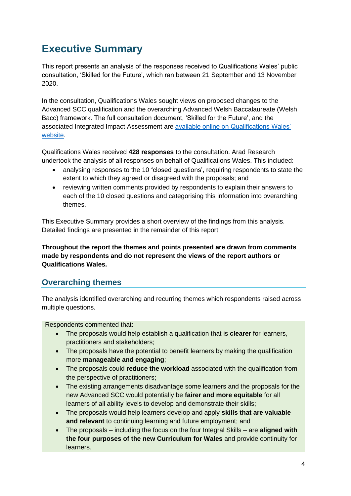# <span id="page-3-0"></span>**Executive Summary**

This report presents an analysis of the responses received to Qualifications Wales' public consultation, 'Skilled for the Future', which ran between 21 September and 13 November 2020.

In the consultation, Qualifications Wales sought views on proposed changes to the Advanced SCC qualification and the overarching Advanced Welsh Baccalaureate (Welsh Bacc) framework. The full consultation document, 'Skilled for the Future', and the associated Integrated Impact Assessment are [available online on Qualifications Wales'](https://www.qualificationswales.org/english/news/qualifications-wales-launches-consultation-on-future-of-welsh-baccalaureate/)  [website.](https://www.qualificationswales.org/english/news/qualifications-wales-launches-consultation-on-future-of-welsh-baccalaureate/)

Qualifications Wales received **428 responses** to the consultation. Arad Research undertook the analysis of all responses on behalf of Qualifications Wales. This included:

- analysing responses to the 10 **'**closed questions', requiring respondents to state the extent to which they agreed or disagreed with the proposals; and
- reviewing written comments provided by respondents to explain their answers to each of the 10 closed questions and categorising this information into overarching themes.

This Executive Summary provides a short overview of the findings from this analysis. Detailed findings are presented in the remainder of this report.

**Throughout the report the themes and points presented are drawn from comments made by respondents and do not represent the views of the report authors or Qualifications Wales.** 

# **Overarching themes**

The analysis identified overarching and recurring themes which respondents raised across multiple questions.

Respondents commented that:

- The proposals would help establish a qualification that is **clearer** for learners, practitioners and stakeholders;
- The proposals have the potential to benefit learners by making the qualification more **manageable and engaging**;
- The proposals could **reduce the workload** associated with the qualification from the perspective of practitioners;
- The existing arrangements disadvantage some learners and the proposals for the new Advanced SCC would potentially be **fairer and more equitable** for all learners of all ability levels to develop and demonstrate their skills;
- The proposals would help learners develop and apply **skills that are valuable and relevant** to continuing learning and future employment; and
- The proposals including the focus on the four Integral Skills are **aligned with the four purposes of the new Curriculum for Wales** and provide continuity for learners.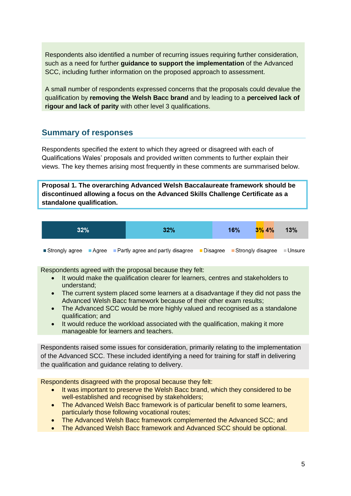Respondents also identified a number of recurring issues requiring further consideration, such as a need for further **guidance to support the implementation** of the Advanced SCC, including further information on the proposed approach to assessment.

A small number of respondents expressed concerns that the proposals could devalue the qualification by **removing the Welsh Bacc brand** and by leading to a **perceived lack of rigour and lack of parity** with other level 3 qualifications.

# **Summary of responses**

Respondents specified the extent to which they agreed or disagreed with each of Qualifications Wales' proposals and provided written comments to further explain their views. The key themes arising most frequently in these comments are summarised below.

**Proposal 1. The overarching Advanced Welsh Baccalaureate framework should be discontinued allowing a focus on the Advanced Skills Challenge Certificate as a standalone qualification.**

|  | 32% | 32% | 16% | $3\%$ 4% | 13% |
|--|-----|-----|-----|----------|-----|
|--|-----|-----|-----|----------|-----|

Strongly agree Agree Partly agree and partly disagree Disagree Strongly disagree Unsure

Respondents agreed with the proposal because they felt:

- It would make the qualification clearer for learners, centres and stakeholders to understand;
- The current system placed some learners at a disadvantage if they did not pass the Advanced Welsh Bacc framework because of their other exam results;
- The Advanced SCC would be more highly valued and recognised as a standalone qualification; and
- It would reduce the workload associated with the qualification, making it more manageable for learners and teachers.

Respondents raised some issues for consideration, primarily relating to the implementation of the Advanced SCC. These included identifying a need for training for staff in delivering the qualification and guidance relating to delivery.

- It was important to preserve the Welsh Bacc brand, which they considered to be well-established and recognised by stakeholders;
- The Advanced Welsh Bacc framework is of particular benefit to some learners, particularly those following vocational routes;
- The Advanced Welsh Bacc framework complemented the Advanced SCC; and
- The Advanced Welsh Bacc framework and Advanced SCC should be optional.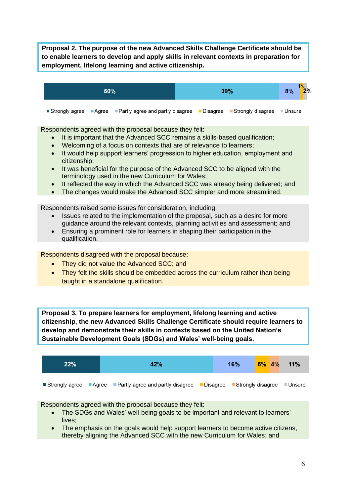**Proposal 2. The purpose of the new Advanced Skills Challenge Certificate should be to enable learners to develop and apply skills in relevant contexts in preparation for employment, lifelong learning and active citizenship.**

| 50% |  |                                                                                            |  | 39% | 8%       | 2% |
|-----|--|--------------------------------------------------------------------------------------------|--|-----|----------|----|
|     |  | ■ Strongly agree ■ Agree ■ Partly agree and partly disagree ■ Disagree ■ Strongly disagree |  |     | ■ Unsure |    |

Respondents agreed with the proposal because they felt:

- It is important that the Advanced SCC remains a skills-based qualification;
- Welcoming of a focus on contexts that are of relevance to learners;
- It would help support learners' progression to higher education, employment and citizenship;
- It was beneficial for the purpose of the Advanced SCC to be aligned with the terminology used in the new Curriculum for Wales;
- It reflected the way in which the Advanced SCC was already being delivered; and
- The changes would make the Advanced SCC simpler and more streamlined.

Respondents raised some issues for consideration, including:

- Issues related to the implementation of the proposal, such as a desire for more guidance around the relevant contexts, planning activities and assessment; and
- Ensuring a prominent role for learners in shaping their participation in the qualification.

Respondents disagreed with the proposal because:

- They did not value the Advanced SCC; and
- They felt the skills should be embedded across the curriculum rather than being taught in a standalone qualification.

**Proposal 3. To prepare learners for employment, lifelong learning and active citizenship, the new Advanced Skills Challenge Certificate should require learners to develop and demonstrate their skills in contexts based on the United Nation's Sustainable Development Goals (SDGs) and Wales' well-being goals.**



- The SDGs and Wales' well-being goals to be important and relevant to learners' lives;
- The emphasis on the goals would help support learners to become active citizens, thereby aligning the Advanced SCC with the new Curriculum for Wales; and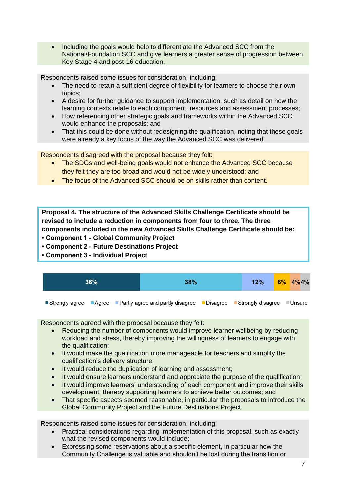• Including the goals would help to differentiate the Advanced SCC from the National/Foundation SCC and give learners a greater sense of progression between Key Stage 4 and post-16 education.

Respondents raised some issues for consideration, including:

- The need to retain a sufficient degree of flexibility for learners to choose their own topics;
- A desire for further guidance to support implementation, such as detail on how the learning contexts relate to each component, resources and assessment processes;
- How referencing other strategic goals and frameworks within the Advanced SCC would enhance the proposals; and
- That this could be done without redesigning the qualification, noting that these goals were already a key focus of the way the Advanced SCC was delivered.

Respondents disagreed with the proposal because they felt:

- The SDGs and well-being goals would not enhance the Advanced SCC because they felt they are too broad and would not be widely understood; and
- The focus of the Advanced SCC should be on skills rather than content.

**Proposal 4. The structure of the Advanced Skills Challenge Certificate should be revised to include a reduction in components from four to three. The three components included in the new Advanced Skills Challenge Certificate should be:**

- **Component 1 - Global Community Project**
- **Component 2 - Future Destinations Project**
- **Component 3 - Individual Project**

| 36%                                                                                                 |  | 38% |  | 12% | $6\%$ $4\%4\%$ |
|-----------------------------------------------------------------------------------------------------|--|-----|--|-----|----------------|
| ■ Strongly agree ■ Agree ■ Partly agree and partly disagree ■ Disagree ■ Strongly disagree ■ Unsure |  |     |  |     |                |

Respondents agreed with the proposal because they felt:

- Reducing the number of components would improve learner wellbeing by reducing workload and stress, thereby improving the willingness of learners to engage with the qualification;
- It would make the qualification more manageable for teachers and simplify the qualification's delivery structure;
- It would reduce the duplication of learning and assessment;
- It would ensure learners understand and appreciate the purpose of the qualification;
- It would improve learners' understanding of each component and improve their skills development, thereby supporting learners to achieve better outcomes; and
- That specific aspects seemed reasonable, in particular the proposals to introduce the Global Community Project and the Future Destinations Project.

Respondents raised some issues for consideration, including:

- Practical considerations regarding implementation of this proposal, such as exactly what the revised components would include;
- Expressing some reservations about a specific element, in particular how the Community Challenge is valuable and shouldn't be lost during the transition or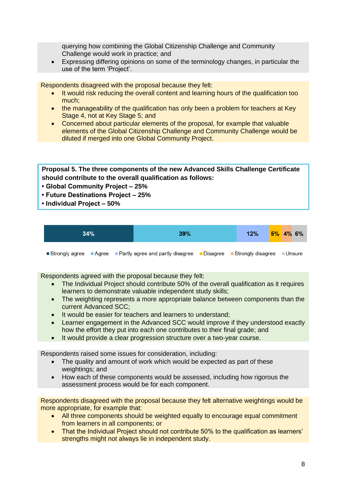querying how combining the Global Citizenship Challenge and Community Challenge would work in practice; and

• Expressing differing opinions on some of the terminology changes, in particular the use of the term 'Project'.

Respondents disagreed with the proposal because they felt:

- It would risk reducing the overall content and learning hours of the qualification too much;
- the manageability of the qualification has only been a problem for teachers at Key Stage 4, not at Key Stage 5; and
- Concerned about particular elements of the proposal, for example that valuable elements of the Global Citizenship Challenge and Community Challenge would be diluted if merged into one Global Community Project.

**Proposal 5. The three components of the new Advanced Skills Challenge Certificate should contribute to the overall qualification as follows:** 

- **Global Community Project – 25%**
- **Future Destinations Project – 25%**
- **Individual Project – 50%**

| 34% | 39% | 12% |  | $5\%$ 4% 6% |
|-----|-----|-----|--|-------------|
|     |     |     |  |             |

Strongly agree Agree Partly agree and partly disagree Disagree Strongly disagree Dissure

Respondents agreed with the proposal because they felt:

- The Individual Project should contribute 50% of the overall qualification as it requires learners to demonstrate valuable independent study skills;
- The weighting represents a more appropriate balance between components than the current Advanced SCC;
- It would be easier for teachers and learners to understand:
- Learner engagement in the Advanced SCC would improve if they understood exactly how the effort they put into each one contributes to their final grade; and
- It would provide a clear progression structure over a two-year course.

Respondents raised some issues for consideration, including:

- The quality and amount of work which would be expected as part of these weightings; and
- How each of these components would be assessed, including how rigorous the assessment process would be for each component.

Respondents disagreed with the proposal because they felt alternative weightings would be more appropriate, for example that:

- All three components should be weighted equally to encourage equal commitment from learners in all components; or
- That the Individual Project should not contribute 50% to the qualification as learners' strengths might not always lie in independent study.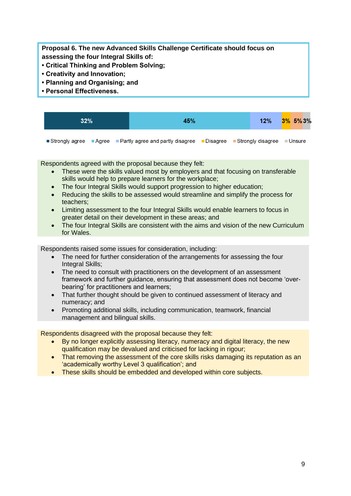**Proposal 6. The new Advanced Skills Challenge Certificate should focus on assessing the four Integral Skills of:**

- **Critical Thinking and Problem Solving;**
- **Creativity and Innovation;**
- **Planning and Organising; and**
- **Personal Effectiveness.**

| $32\%$ |  | 45%                                                                                                                          |  | 12% | $3\%$ 5% 3% |  |
|--------|--|------------------------------------------------------------------------------------------------------------------------------|--|-----|-------------|--|
|        |  | <b>Strongly agree E</b> Agree <b>E</b> Partly agree and partly disagree <b>E</b> Disagree <b>E</b> Strongly disagree EUnsure |  |     |             |  |

Respondents agreed with the proposal because they felt:

- These were the skills valued most by employers and that focusing on transferable skills would help to prepare learners for the workplace;
- The four Integral Skills would support progression to higher education;
- Reducing the skills to be assessed would streamline and simplify the process for teachers;
- Limiting assessment to the four Integral Skills would enable learners to focus in greater detail on their development in these areas; and
- The four Integral Skills are consistent with the aims and vision of the new Curriculum for Wales.

Respondents raised some issues for consideration, including:

- The need for further consideration of the arrangements for assessing the four Integral Skills;
- The need to consult with practitioners on the development of an assessment framework and further guidance, ensuring that assessment does not become 'overbearing' for practitioners and learners;
- That further thought should be given to continued assessment of literacy and numeracy; and
- Promoting additional skills, including communication, teamwork, financial management and bilingual skills.

- By no longer explicitly assessing literacy, numeracy and digital literacy, the new qualification may be devalued and criticised for lacking in rigour;
- That removing the assessment of the core skills risks damaging its reputation as an 'academically worthy Level 3 qualification'; and
- These skills should be embedded and developed within core subjects.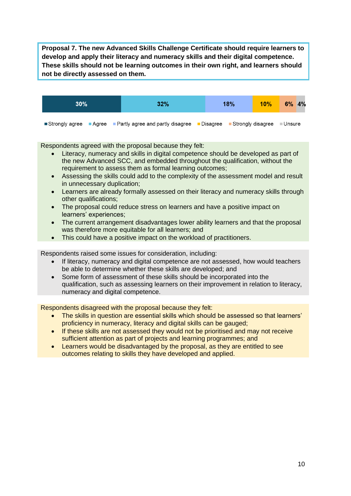**Proposal 7. The new Advanced Skills Challenge Certificate should require learners to develop and apply their literacy and numeracy skills and their digital competence. These skills should not be learning outcomes in their own right, and learners should not be directly assessed on them.**



Strongly agree Agree Partly agree and partly disagree Disagree Strongly disagree Dinsure

Respondents agreed with the proposal because they felt:

- Literacy, numeracy and skills in digital competence should be developed as part of the new Advanced SCC, and embedded throughout the qualification, without the requirement to assess them as formal learning outcomes;
- Assessing the skills could add to the complexity of the assessment model and result in unnecessary duplication;
- Learners are already formally assessed on their literacy and numeracy skills through other qualifications;
- The proposal could reduce stress on learners and have a positive impact on learners' experiences;
- The current arrangement disadvantages lower ability learners and that the proposal was therefore more equitable for all learners; and
- This could have a positive impact on the workload of practitioners.

Respondents raised some issues for consideration, including:

- If literacy, numeracy and digital competence are not assessed, how would teachers be able to determine whether these skills are developed; and
- Some form of assessment of these skills should be incorporated into the qualification, such as assessing learners on their improvement in relation to literacy, numeracy and digital competence.

- The skills in question are essential skills which should be assessed so that learners' proficiency in numeracy, literacy and digital skills can be gauged;
- If these skills are not assessed they would not be prioritised and may not receive sufficient attention as part of projects and learning programmes; and
- Learners would be disadvantaged by the proposal, as they are entitled to see outcomes relating to skills they have developed and applied.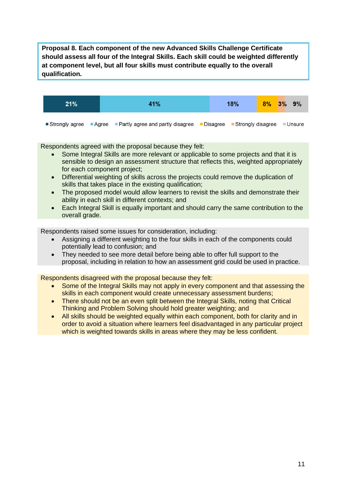**Proposal 8. Each component of the new Advanced Skills Challenge Certificate should assess all four of the Integral Skills. Each skill could be weighted differently at component level, but all four skills must contribute equally to the overall qualification.**



Strongly agree Agree Partly agree and partly disagree Disagree Strongly disagree Unsure

Respondents agreed with the proposal because they felt:

- Some Integral Skills are more relevant or applicable to some projects and that it is sensible to design an assessment structure that reflects this, weighted appropriately for each component project;
- Differential weighting of skills across the projects could remove the duplication of skills that takes place in the existing qualification;
- The proposed model would allow learners to revisit the skills and demonstrate their ability in each skill in different contexts; and
- Each Integral Skill is equally important and should carry the same contribution to the overall grade.

Respondents raised some issues for consideration, including:

- Assigning a different weighting to the four skills in each of the components could potentially lead to confusion; and
- They needed to see more detail before being able to offer full support to the proposal, including in relation to how an assessment grid could be used in practice.

- Some of the Integral Skills may not apply in every component and that assessing the skills in each component would create unnecessary assessment burdens;
- There should not be an even split between the Integral Skills, noting that Critical Thinking and Problem Solving should hold greater weighting; and
- All skills should be weighted equally within each component, both for clarity and in order to avoid a situation where learners feel disadvantaged in any particular project which is weighted towards skills in areas where they may be less confident.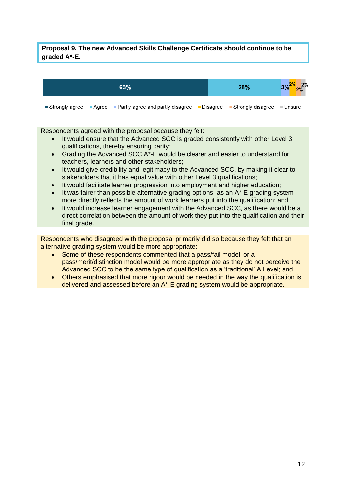#### **Proposal 9. The new Advanced Skills Challenge Certificate should continue to be graded A\*-E.**



Strongly agree Agree Partly agree and partly disagree Disagree Strongly disagree **Unsure** 

Respondents agreed with the proposal because they felt:

- It would ensure that the Advanced SCC is graded consistently with other Level 3 qualifications, thereby ensuring parity;
- Grading the Advanced SCC A\*-E would be clearer and easier to understand for teachers, learners and other stakeholders;
- It would give credibility and legitimacy to the Advanced SCC, by making it clear to stakeholders that it has equal value with other Level 3 qualifications;
- It would facilitate learner progression into employment and higher education;
- It was fairer than possible alternative grading options, as an A\*-E grading system more directly reflects the amount of work learners put into the qualification; and
- It would increase learner engagement with the Advanced SCC, as there would be a direct correlation between the amount of work they put into the qualification and their final grade.

Respondents who disagreed with the proposal primarily did so because they felt that an alternative grading system would be more appropriate:

- Some of these respondents commented that a pass/fail model, or a pass/merit/distinction model would be more appropriate as they do not perceive the Advanced SCC to be the same type of qualification as a 'traditional' A Level; and
- Others emphasised that more rigour would be needed in the way the qualification is delivered and assessed before an A\*-E grading system would be appropriate.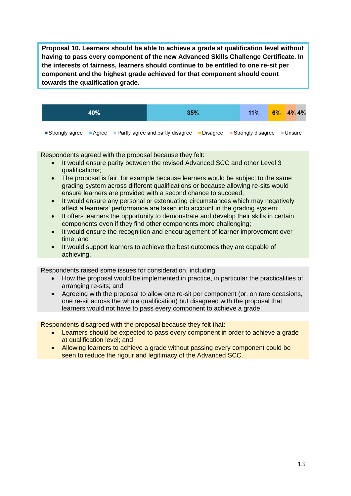**Proposal 10. Learners should be able to achieve a grade at qualification level without having to pass every component of the new Advanced Skills Challenge Certificate. In the interests of fairness, learners should continue to be entitled to one re-sit per component and the highest grade achieved for that component should count towards the qualification grade.**



Respondents agreed with the proposal because they felt:

- It would ensure parity between the revised Advanced SCC and other Level 3 qualifications;
- The proposal is fair, for example because learners would be subject to the same grading system across different qualifications or because allowing re-sits would ensure learners are provided with a second chance to succeed;
- It would ensure any personal or extenuating circumstances which may negatively affect a learners' performance are taken into account in the grading system;
- It offers learners the opportunity to demonstrate and develop their skills in certain components even if they find other components more challenging;
- It would ensure the recognition and encouragement of learner improvement over time; and
- It would support learners to achieve the best outcomes they are capable of achieving.

Respondents raised some issues for consideration, including:

- How the proposal would be implemented in practice, in particular the practicalities of arranging re-sits; and
- Agreeing with the proposal to allow one re-sit per component (or, on rare occasions, one re-sit across the whole qualification) but disagreed with the proposal that learners would not have to pass every component to achieve a grade.

- Learners should be expected to pass every component in order to achieve a grade at qualification level; and
- Allowing learners to achieve a grade without passing every component could be seen to reduce the rigour and legitimacy of the Advanced SCC.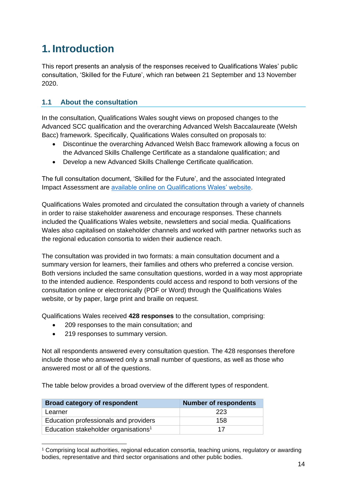# <span id="page-13-0"></span>**1. Introduction**

This report presents an analysis of the responses received to Qualifications Wales' public consultation, 'Skilled for the Future', which ran between 21 September and 13 November 2020.

# <span id="page-13-1"></span>**1.1 About the consultation**

In the consultation, Qualifications Wales sought views on proposed changes to the Advanced SCC qualification and the overarching Advanced Welsh Baccalaureate (Welsh Bacc) framework. Specifically, Qualifications Wales consulted on proposals to:

- Discontinue the overarching Advanced Welsh Bacc framework allowing a focus on the Advanced Skills Challenge Certificate as a standalone qualification; and
- Develop a new Advanced Skills Challenge Certificate qualification.

The full consultation document, 'Skilled for the Future', and the associated Integrated Impact Assessment are [available online on Qualifications Wales' website.](https://www.qualificationswales.org/english/news/qualifications-wales-launches-consultation-on-future-of-welsh-baccalaureate/)

Qualifications Wales promoted and circulated the consultation through a variety of channels in order to raise stakeholder awareness and encourage responses. These channels included the Qualifications Wales website, newsletters and social media. Qualifications Wales also capitalised on stakeholder channels and worked with partner networks such as the regional education consortia to widen their audience reach.

The consultation was provided in two formats: a main consultation document and a summary version for learners, their families and others who preferred a concise version. Both versions included the same consultation questions, worded in a way most appropriate to the intended audience. Respondents could access and respond to both versions of the consultation online or electronically (PDF or Word) through the Qualifications Wales website, or by paper, large print and braille on request.

Qualifications Wales received **428 responses** to the consultation, comprising:

- 209 responses to the main consultation; and
- 219 responses to summary version.

Not all respondents answered every consultation question. The 428 responses therefore include those who answered only a small number of questions, as well as those who answered most or all of the questions.

The table below provides a broad overview of the different types of respondent.

| <b>Broad category of respondent</b>              | <b>Number of respondents</b> |
|--------------------------------------------------|------------------------------|
| Learner                                          | 223                          |
| Education professionals and providers            | 158                          |
| Education stakeholder organisations <sup>1</sup> | 17                           |

<sup>1</sup> Comprising local authorities, regional education consortia, teaching unions, regulatory or awarding bodies, representative and third sector organisations and other public bodies.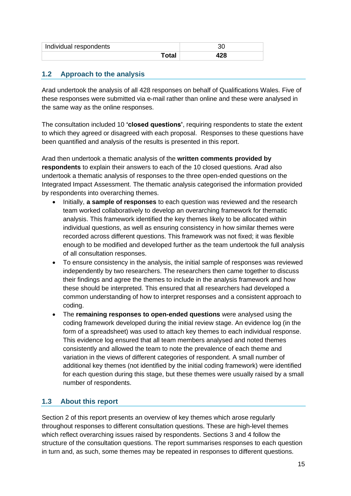| Individual respondents |  |
|------------------------|--|
|                        |  |

# <span id="page-14-0"></span>**1.2 Approach to the analysis**

Arad undertook the analysis of all 428 responses on behalf of Qualifications Wales. Five of these responses were submitted via e-mail rather than online and these were analysed in the same way as the online responses.

The consultation included 10 **'closed questions'**, requiring respondents to state the extent to which they agreed or disagreed with each proposal. Responses to these questions have been quantified and analysis of the results is presented in this report.

Arad then undertook a thematic analysis of the **written comments provided by respondents** to explain their answers to each of the 10 closed questions. Arad also undertook a thematic analysis of responses to the three open-ended questions on the Integrated Impact Assessment. The thematic analysis categorised the information provided by respondents into overarching themes.

- Initially, **a sample of responses** to each question was reviewed and the research team worked collaboratively to develop an overarching framework for thematic analysis. This framework identified the key themes likely to be allocated within individual questions, as well as ensuring consistency in how similar themes were recorded across different questions. This framework was not fixed; it was flexible enough to be modified and developed further as the team undertook the full analysis of all consultation responses.
- To ensure consistency in the analysis, the initial sample of responses was reviewed independently by two researchers. The researchers then came together to discuss their findings and agree the themes to include in the analysis framework and how these should be interpreted. This ensured that all researchers had developed a common understanding of how to interpret responses and a consistent approach to coding.
- The **remaining responses to open-ended questions** were analysed using the coding framework developed during the initial review stage. An evidence log (in the form of a spreadsheet) was used to attach key themes to each individual response. This evidence log ensured that all team members analysed and noted themes consistently and allowed the team to note the prevalence of each theme and variation in the views of different categories of respondent. A small number of additional key themes (not identified by the initial coding framework) were identified for each question during this stage, but these themes were usually raised by a small number of respondents.

# <span id="page-14-1"></span>**1.3 About this report**

Section 2 of this report presents an overview of key themes which arose regularly throughout responses to different consultation questions. These are high-level themes which reflect overarching issues raised by respondents. Sections 3 and 4 follow the structure of the consultation questions. The report summarises responses to each question in turn and, as such, some themes may be repeated in responses to different questions.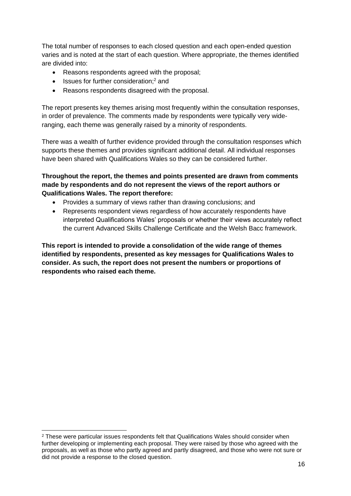The total number of responses to each closed question and each open-ended question varies and is noted at the start of each question. Where appropriate, the themes identified are divided into:

- Reasons respondents agreed with the proposal;
- $\bullet$  Issues for further consideration:<sup>2</sup> and
- Reasons respondents disagreed with the proposal.

The report presents key themes arising most frequently within the consultation responses, in order of prevalence. The comments made by respondents were typically very wideranging, each theme was generally raised by a minority of respondents.

There was a wealth of further evidence provided through the consultation responses which supports these themes and provides significant additional detail. All individual responses have been shared with Qualifications Wales so they can be considered further.

### **Throughout the report, the themes and points presented are drawn from comments made by respondents and do not represent the views of the report authors or Qualifications Wales. The report therefore:**

- Provides a summary of views rather than drawing conclusions; and
- Represents respondent views regardless of how accurately respondents have interpreted Qualifications Wales' proposals or whether their views accurately reflect the current Advanced Skills Challenge Certificate and the Welsh Bacc framework.

**This report is intended to provide a consolidation of the wide range of themes identified by respondents, presented as key messages for Qualifications Wales to consider. As such, the report does not present the numbers or proportions of respondents who raised each theme.**

<sup>&</sup>lt;sup>2</sup> These were particular issues respondents felt that Qualifications Wales should consider when further developing or implementing each proposal. They were raised by those who agreed with the proposals, as well as those who partly agreed and partly disagreed, and those who were not sure or did not provide a response to the closed question.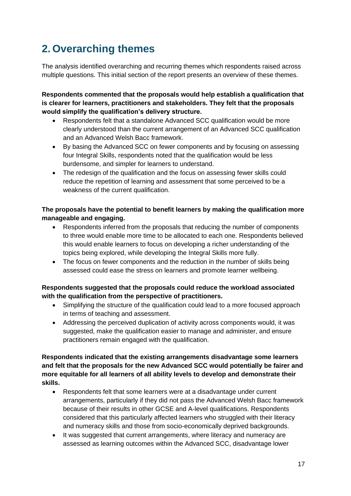# <span id="page-16-0"></span>**2. Overarching themes**

The analysis identified overarching and recurring themes which respondents raised across multiple questions. This initial section of the report presents an overview of these themes.

**Respondents commented that the proposals would help establish a qualification that is clearer for learners, practitioners and stakeholders. They felt that the proposals would simplify the qualification's delivery structure.** 

- Respondents felt that a standalone Advanced SCC qualification would be more clearly understood than the current arrangement of an Advanced SCC qualification and an Advanced Welsh Bacc framework.
- By basing the Advanced SCC on fewer components and by focusing on assessing four Integral Skills, respondents noted that the qualification would be less burdensome, and simpler for learners to understand.
- The redesign of the qualification and the focus on assessing fewer skills could reduce the repetition of learning and assessment that some perceived to be a weakness of the current qualification.

# **The proposals have the potential to benefit learners by making the qualification more manageable and engaging.**

- Respondents inferred from the proposals that reducing the number of components to three would enable more time to be allocated to each one. Respondents believed this would enable learners to focus on developing a richer understanding of the topics being explored, while developing the Integral Skills more fully.
- The focus on fewer components and the reduction in the number of skills being assessed could ease the stress on learners and promote learner wellbeing.

### **Respondents suggested that the proposals could reduce the workload associated with the qualification from the perspective of practitioners.**

- Simplifying the structure of the qualification could lead to a more focused approach in terms of teaching and assessment.
- Addressing the perceived duplication of activity across components would, it was suggested, make the qualification easier to manage and administer, and ensure practitioners remain engaged with the qualification.

**Respondents indicated that the existing arrangements disadvantage some learners and felt that the proposals for the new Advanced SCC would potentially be fairer and more equitable for all learners of all ability levels to develop and demonstrate their skills.** 

- Respondents felt that some learners were at a disadvantage under current arrangements, particularly if they did not pass the Advanced Welsh Bacc framework because of their results in other GCSE and A-level qualifications. Respondents considered that this particularly affected learners who struggled with their literacy and numeracy skills and those from socio-economically deprived backgrounds.
- It was suggested that current arrangements, where literacy and numeracy are assessed as learning outcomes within the Advanced SCC, disadvantage lower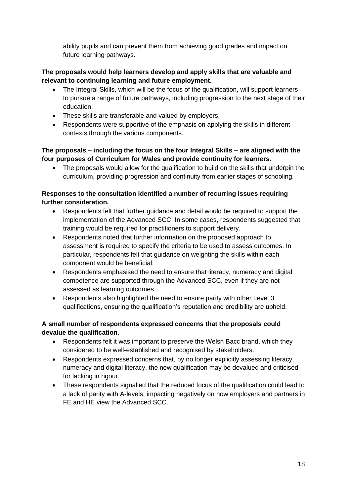ability pupils and can prevent them from achieving good grades and impact on future learning pathways.

#### **The proposals would help learners develop and apply skills that are valuable and relevant to continuing learning and future employment.**

- The Integral Skills, which will be the focus of the qualification, will support learners to pursue a range of future pathways, including progression to the next stage of their education.
- These skills are transferable and valued by employers.
- Respondents were supportive of the emphasis on applying the skills in different contexts through the various components.

### **The proposals – including the focus on the four Integral Skills – are aligned with the four purposes of Curriculum for Wales and provide continuity for learners.**

• The proposals would allow for the qualification to build on the skills that underpin the curriculum, providing progression and continuity from earlier stages of schooling.

### **Responses to the consultation identified a number of recurring issues requiring further consideration.**

- Respondents felt that further quidance and detail would be required to support the implementation of the Advanced SCC. In some cases, respondents suggested that training would be required for practitioners to support delivery.
- Respondents noted that further information on the proposed approach to assessment is required to specify the criteria to be used to assess outcomes. In particular, respondents felt that guidance on weighting the skills within each component would be beneficial.
- Respondents emphasised the need to ensure that literacy, numeracy and digital competence are supported through the Advanced SCC, even if they are not assessed as learning outcomes.
- Respondents also highlighted the need to ensure parity with other Level 3 qualifications, ensuring the qualification's reputation and credibility are upheld.

### **A small number of respondents expressed concerns that the proposals could devalue the qualification.**

- Respondents felt it was important to preserve the Welsh Bacc brand, which they considered to be well-established and recognised by stakeholders.
- Respondents expressed concerns that, by no longer explicitly assessing literacy, numeracy and digital literacy, the new qualification may be devalued and criticised for lacking in rigour.
- These respondents signalled that the reduced focus of the qualification could lead to a lack of parity with A-levels, impacting negatively on how employers and partners in FE and HE view the Advanced SCC.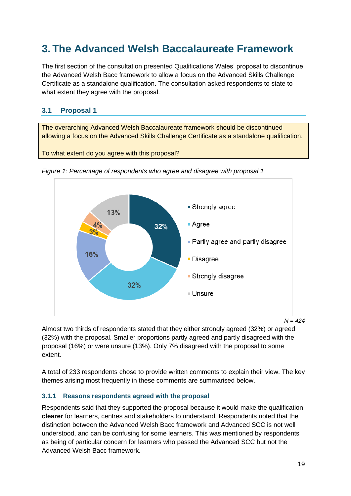# <span id="page-18-0"></span>**3. The Advanced Welsh Baccalaureate Framework**

The first section of the consultation presented Qualifications Wales' proposal to discontinue the Advanced Welsh Bacc framework to allow a focus on the Advanced Skills Challenge Certificate as a standalone qualification. The consultation asked respondents to state to what extent they agree with the proposal.

# <span id="page-18-1"></span>**3.1 Proposal 1**

The overarching Advanced Welsh Baccalaureate framework should be discontinued allowing a focus on the Advanced Skills Challenge Certificate as a standalone qualification.

To what extent do you agree with this proposal?



*Figure 1: Percentage of respondents who agree and disagree with proposal 1*

Almost two thirds of respondents stated that they either strongly agreed (32%) or agreed (32%) with the proposal. Smaller proportions partly agreed and partly disagreed with the proposal (16%) or were unsure (13%). Only 7% disagreed with the proposal to some extent.

A total of 233 respondents chose to provide written comments to explain their view. The key themes arising most frequently in these comments are summarised below.

#### **3.1.1 Reasons respondents agreed with the proposal**

Respondents said that they supported the proposal because it would make the qualification **clearer** for learners, centres and stakeholders to understand. Respondents noted that the distinction between the Advanced Welsh Bacc framework and Advanced SCC is not well understood, and can be confusing for some learners. This was mentioned by respondents as being of particular concern for learners who passed the Advanced SCC but not the Advanced Welsh Bacc framework.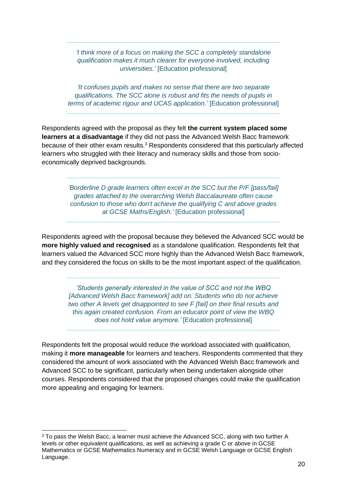*'I think more of a focus on making the SCC a completely standalone qualification makes it much clearer for everyone involved, including universities.'* [Education professional]

*'It confuses pupils and makes no sense that there are two separate qualifications. The SCC alone is robust and fits the needs of pupils in terms of academic rigour and UCAS application.'* [Education professional]

Respondents agreed with the proposal as they felt **the current system placed some learners at a disadvantage** if they did not pass the Advanced Welsh Bacc framework because of their other exam results.<sup>3</sup> Respondents considered that this particularly affected learners who struggled with their literacy and numeracy skills and those from socioeconomically deprived backgrounds.

> *'Borderline D grade learners often excel in the SCC but the P/F [pass/fail] grades attached to the overarching Welsh Baccalaureate often cause confusion to those who don't achieve the qualifying C and above grades at GCSE Maths/English.'* [Education professional]

Respondents agreed with the proposal because they believed the Advanced SCC would be **more highly valued and recognised** as a standalone qualification. Respondents felt that learners valued the Advanced SCC more highly than the Advanced Welsh Bacc framework, and they considered the focus on skills to be the most important aspect of the qualification.

> *'Students generally interested in the value of SCC and not the WBQ [Advanced Welsh Bacc framework] add on. Students who do not achieve two other A levels get disappointed to see F [fail] on their final results and this again created confusion. From an educator point of view the WBQ does not hold value anymore.'* [Education professional]

Respondents felt the proposal would reduce the workload associated with qualification, making it **more manageable** for learners and teachers. Respondents commented that they considered the amount of work associated with the Advanced Welsh Bacc framework and Advanced SCC to be significant, particularly when being undertaken alongside other courses. Respondents considered that the proposed changes could make the qualification more appealing and engaging for learners.

<sup>&</sup>lt;sup>3</sup> To pass the Welsh Bacc, a learner must achieve the Advanced SCC, along with two further A levels or other equivalent qualifications, as well as achieving a grade C or above in GCSE Mathematics or GCSE Mathematics Numeracy and in GCSE Welsh Language or GCSE English Language.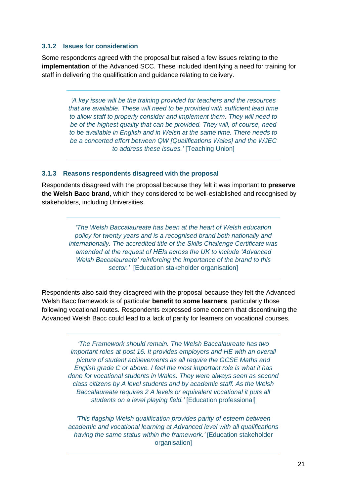#### **3.1.2 Issues for consideration**

Some respondents agreed with the proposal but raised a few issues relating to the **implementation** of the Advanced SCC. These included identifying a need for training for staff in delivering the qualification and guidance relating to delivery.

> *'A key issue will be the training provided for teachers and the resources that are available. These will need to be provided with sufficient lead time to allow staff to properly consider and implement them. They will need to be of the highest quality that can be provided. They will, of course, need to be available in English and in Welsh at the same time. There needs to be a concerted effort between QW [Qualifications Wales] and the WJEC to address these issues.'* [Teaching Union]

#### **3.1.3 Reasons respondents disagreed with the proposal**

Respondents disagreed with the proposal because they felt it was important to **preserve the Welsh Bacc brand**, which they considered to be well-established and recognised by stakeholders, including Universities.

> *'The Welsh Baccalaureate has been at the heart of Welsh education policy for twenty years and is a recognised brand both nationally and internationally. The accredited title of the Skills Challenge Certificate was amended at the request of HEIs across the UK to include 'Advanced Welsh Baccalaureate' reinforcing the importance of the brand to this sector.'* [Education stakeholder organisation]

Respondents also said they disagreed with the proposal because they felt the Advanced Welsh Bacc framework is of particular **benefit to some learners**, particularly those following vocational routes. Respondents expressed some concern that discontinuing the Advanced Welsh Bacc could lead to a lack of parity for learners on vocational courses.

> *'The Framework should remain. The Welsh Baccalaureate has two important roles at post 16. It provides employers and HE with an overall picture of student achievements as all require the GCSE Maths and English grade C or above. I feel the most important role is what it has done for vocational students in Wales. They were always seen as second class citizens by A level students and by academic staff. As the Welsh Baccalaureate requires 2 A levels or equivalent vocational it puts all students on a level playing field.'* [Education professional]

> *'This flagship Welsh qualification provides parity of esteem between academic and vocational learning at Advanced level with all qualifications having the same status within the framework.'* [Education stakeholder **organisation1**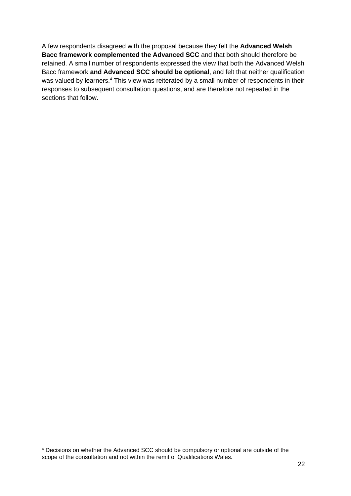A few respondents disagreed with the proposal because they felt the **Advanced Welsh Bacc framework complemented the Advanced SCC** and that both should therefore be retained. A small number of respondents expressed the view that both the Advanced Welsh Bacc framework **and Advanced SCC should be optional**, and felt that neither qualification was valued by learners.<sup>4</sup> This view was reiterated by a small number of respondents in their responses to subsequent consultation questions, and are therefore not repeated in the sections that follow.

<sup>4</sup> Decisions on whether the Advanced SCC should be compulsory or optional are outside of the scope of the consultation and not within the remit of Qualifications Wales.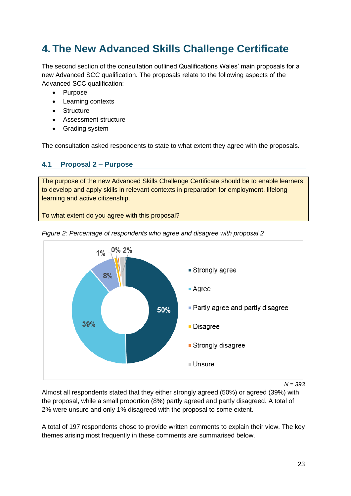# <span id="page-22-0"></span>**4. The New Advanced Skills Challenge Certificate**

The second section of the consultation outlined Qualifications Wales' main proposals for a new Advanced SCC qualification. The proposals relate to the following aspects of the Advanced SCC qualification:

- Purpose
- Learning contexts
- Structure
- Assessment structure
- Grading system

<span id="page-22-1"></span>The consultation asked respondents to state to what extent they agree with the proposals.

### **4.1 Proposal 2 – Purpose**

The purpose of the new Advanced Skills Challenge Certificate should be to enable learners to develop and apply skills in relevant contexts in preparation for employment, lifelong learning and active citizenship.

To what extent do you agree with this proposal?



*Figure 2: Percentage of respondents who agree and disagree with proposal 2*

*N = 393*

Almost all respondents stated that they either strongly agreed (50%) or agreed (39%) with the proposal, while a small proportion (8%) partly agreed and partly disagreed. A total of 2% were unsure and only 1% disagreed with the proposal to some extent.

A total of 197 respondents chose to provide written comments to explain their view. The key themes arising most frequently in these comments are summarised below.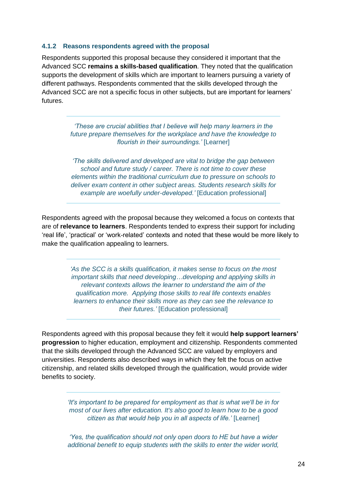#### **4.1.2 Reasons respondents agreed with the proposal**

Respondents supported this proposal because they considered it important that the Advanced SCC **remains a skills-based qualification**. They noted that the qualification supports the development of skills which are important to learners pursuing a variety of different pathways. Respondents commented that the skills developed through the Advanced SCC are not a specific focus in other subjects, but are important for learners' futures.

> *'These are crucial abilities that I believe will help many learners in the future prepare themselves for the workplace and have the knowledge to flourish in their surroundings.'* [Learner]

> *'The skills delivered and developed are vital to bridge the gap between school and future study / career. There is not time to cover these elements within the traditional curriculum due to pressure on schools to deliver exam content in other subject areas. Students research skills for example are woefully under-developed.'* [Education professional]

Respondents agreed with the proposal because they welcomed a focus on contexts that are of **relevance to learners**. Respondents tended to express their support for including 'real life', 'practical' or 'work-related' contexts and noted that these would be more likely to make the qualification appealing to learners.

> *'As the SCC is a skills qualification, it makes sense to focus on the most important skills that need developing…developing and applying skills in relevant contexts allows the learner to understand the aim of the qualification more. Applying those skills to real life contexts enables learners to enhance their skills more as they can see the relevance to their futures.'* [Education professional]

Respondents agreed with this proposal because they felt it would **help support learners' progression** to higher education, employment and citizenship. Respondents commented that the skills developed through the Advanced SCC are valued by employers and universities. Respondents also described ways in which they felt the focus on active citizenship, and related skills developed through the qualification, would provide wider benefits to society.

> *'It's important to be prepared for employment as that is what we'll be in for most of our lives after education. It's also good to learn how to be a good citizen as that would help you in all aspects of life.'* [Learner]

> *'Yes, the qualification should not only open doors to HE but have a wider additional benefit to equip students with the skills to enter the wider world,*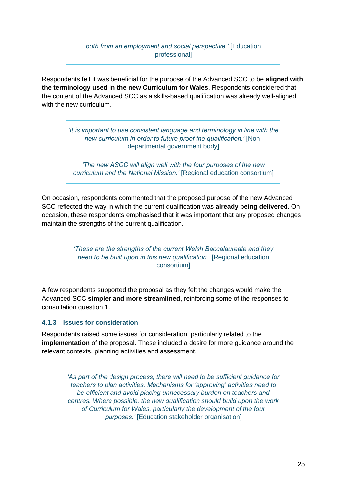#### *both from an employment and social perspective.'* [Education professional]

Respondents felt it was beneficial for the purpose of the Advanced SCC to be **aligned with the terminology used in the new Curriculum for Wales**. Respondents considered that the content of the Advanced SCC as a skills-based qualification was already well-aligned with the new curriculum.

> *'It is important to use consistent language and terminology in line with the new curriculum in order to future proof the qualification.'* [Nondepartmental government body]

*'The new ASCC will align well with the four purposes of the new curriculum and the National Mission.'* [Regional education consortium]

On occasion, respondents commented that the proposed purpose of the new Advanced SCC reflected the way in which the current qualification was **already being delivered**. On occasion, these respondents emphasised that it was important that any proposed changes maintain the strengths of the current qualification.

> *'These are the strengths of the current Welsh Baccalaureate and they need to be built upon in this new qualification.'* [Regional education consortium]

A few respondents supported the proposal as they felt the changes would make the Advanced SCC **simpler and more streamlined,** reinforcing some of the responses to consultation question 1.

#### **4.1.3 Issues for consideration**

Respondents raised some issues for consideration, particularly related to the **implementation** of the proposal. These included a desire for more guidance around the relevant contexts, planning activities and assessment.

> *'As part of the design process, there will need to be sufficient guidance for teachers to plan activities. Mechanisms for 'approving' activities need to be efficient and avoid placing unnecessary burden on teachers and centres. Where possible, the new qualification should build upon the work of Curriculum for Wales, particularly the development of the four purposes.'* [Education stakeholder organisation]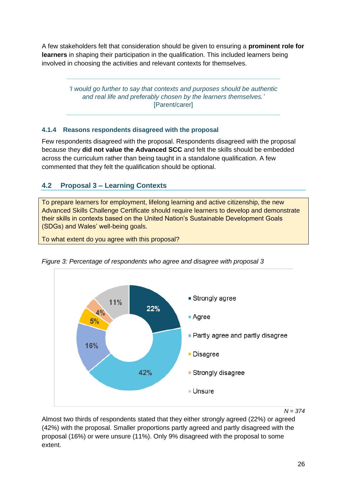A few stakeholders felt that consideration should be given to ensuring a **prominent role for learners** in shaping their participation in the qualification. This included learners being involved in choosing the activities and relevant contexts for themselves.

> *'I would go further to say that contexts and purposes should be authentic and real life and preferably chosen by the learners themselves.'*  [Parent/carer]

# **4.1.4 Reasons respondents disagreed with the proposal**

Few respondents disagreed with the proposal. Respondents disagreed with the proposal because they **did not value the Advanced SCC** and felt the skills should be embedded across the curriculum rather than being taught in a standalone qualification. A few commented that they felt the qualification should be optional.

# <span id="page-25-0"></span>**4.2 Proposal 3 – Learning Contexts**

To prepare learners for employment, lifelong learning and active citizenship, the new Advanced Skills Challenge Certificate should require learners to develop and demonstrate their skills in contexts based on the United Nation's Sustainable Development Goals (SDGs) and Wales' well-being goals.

To what extent do you agree with this proposal?



*Figure 3: Percentage of respondents who agree and disagree with proposal 3*

*N = 374*

Almost two thirds of respondents stated that they either strongly agreed (22%) or agreed (42%) with the proposal. Smaller proportions partly agreed and partly disagreed with the proposal (16%) or were unsure (11%). Only 9% disagreed with the proposal to some extent.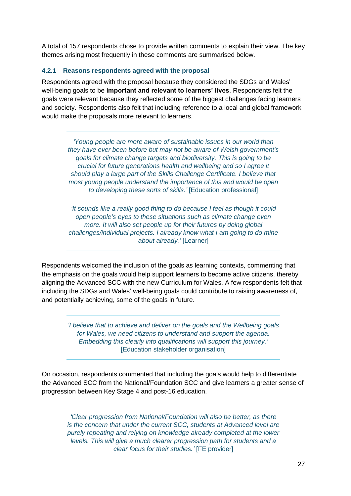A total of 157 respondents chose to provide written comments to explain their view. The key themes arising most frequently in these comments are summarised below.

#### **4.2.1 Reasons respondents agreed with the proposal**

Respondents agreed with the proposal because they considered the SDGs and Wales' well-being goals to be **important and relevant to learners' lives**. Respondents felt the goals were relevant because they reflected some of the biggest challenges facing learners and society. Respondents also felt that including reference to a local and global framework would make the proposals more relevant to learners.

> *'Young people are more aware of sustainable issues in our world than they have ever been before but may not be aware of Welsh government's goals for climate change targets and biodiversity. This is going to be crucial for future generations health and wellbeing and so I agree it should play a large part of the Skills Challenge Certificate. I believe that most young people understand the importance of this and would be open to developing these sorts of skills.'* [Education professional]

> *'It sounds like a really good thing to do because I feel as though it could open people's eyes to these situations such as climate change even more. It will also set people up for their futures by doing global challenges/individual projects. I already know what I am going to do mine about already.'* [Learner]

Respondents welcomed the inclusion of the goals as learning contexts, commenting that the emphasis on the goals would help support learners to become active citizens, thereby aligning the Advanced SCC with the new Curriculum for Wales. A few respondents felt that including the SDGs and Wales' well-being goals could contribute to raising awareness of, and potentially achieving, some of the goals in future.

*'I believe that to achieve and deliver on the goals and the Wellbeing goals for Wales, we need citizens to understand and support the agenda. Embedding this clearly into qualifications will support this journey.'*  [Education stakeholder organisation]

On occasion, respondents commented that including the goals would help to differentiate the Advanced SCC from the National/Foundation SCC and give learners a greater sense of progression between Key Stage 4 and post-16 education.

*'Clear progression from National/Foundation will also be better, as there is the concern that under the current SCC, students at Advanced level are purely repeating and relying on knowledge already completed at the lower levels. This will give a much clearer progression path for students and a clear focus for their studies.'* [FE provider]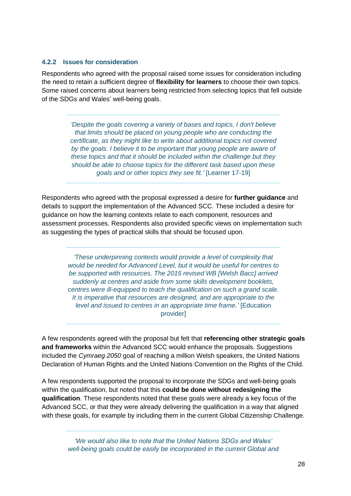#### **4.2.2 Issues for consideration**

Respondents who agreed with the proposal raised some issues for consideration including the need to retain a sufficient degree of **flexibility for learners** to choose their own topics. Some raised concerns about learners being restricted from selecting topics that fell outside of the SDGs and Wales' well-being goals.

> *'Despite the goals covering a variety of bases and topics, I don't believe that limits should be placed on young people who are conducting the certificate, as they might like to write about additional topics not covered by the goals. I believe it to be important that young people are aware of these topics and that it should be included within the challenge but they should be able to choose topics for the different task based upon these goals and or other topics they see fit.'* [Learner 17-19]

Respondents who agreed with the proposal expressed a desire for **further guidance** and details to support the implementation of the Advanced SCC. These included a desire for guidance on how the learning contexts relate to each component, resources and assessment processes. Respondents also provided specific views on implementation such as suggesting the types of practical skills that should be focused upon.

*'These underpinning contexts would provide a level of complexity that would be needed for Advanced Level, but it would be useful for centres to be supported with resources. The 2015 revised WB [Welsh Bacc] arrived suddenly at centres and aside from some skills development booklets, centres were ill-equipped to teach the qualification on such a grand scale. It is imperative that resources are designed, and are appropriate to the level and issued to centres in an appropriate time frame.'* [Education provider]

A few respondents agreed with the proposal but felt that **referencing other strategic goals and frameworks** within the Advanced SCC would enhance the proposals. Suggestions included the *Cymraeg 2050* goal of reaching a million Welsh speakers, the United Nations Declaration of Human Rights and the United Nations Convention on the Rights of the Child.

A few respondents supported the proposal to incorporate the SDGs and well-being goals within the qualification, but noted that this **could be done without redesigning the qualification**. These respondents noted that these goals were already a key focus of the Advanced SCC, or that they were already delivering the qualification in a way that aligned with these goals, for example by including them in the current Global Citizenship Challenge.

*'We would also like to note that the United Nations SDGs and Wales' well-being goals could be easily be incorporated in the current Global and*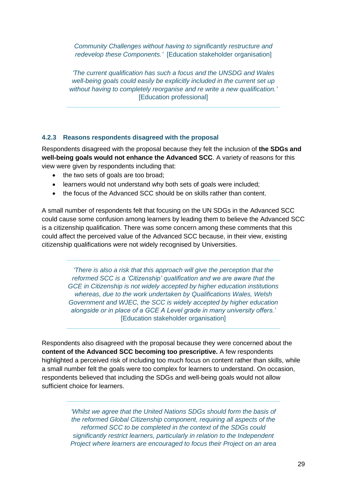*Community Challenges without having to significantly restructure and redevelop these Components.'* [Education stakeholder organisation]

*'The current qualification has such a focus and the UNSDG and Wales well-being goals could easily be explicitly included in the current set up without having to completely reorganise and re write a new qualification.'* [Education professional]

#### **4.2.3 Reasons respondents disagreed with the proposal**

Respondents disagreed with the proposal because they felt the inclusion of **the SDGs and well-being goals would not enhance the Advanced SCC**. A variety of reasons for this view were given by respondents including that:

- the two sets of goals are too broad;
- learners would not understand why both sets of goals were included:
- the focus of the Advanced SCC should be on skills rather than content.

A small number of respondents felt that focusing on the UN SDGs in the Advanced SCC could cause some confusion among learners by leading them to believe the Advanced SCC is a citizenship qualification. There was some concern among these comments that this could affect the perceived value of the Advanced SCC because, in their view, existing citizenship qualifications were not widely recognised by Universities.

*'There is also a risk that this approach will give the perception that the reformed SCC is a 'Citizenship' qualification and we are aware that the GCE in Citizenship is not widely accepted by higher education institutions whereas, due to the work undertaken by Qualifications Wales, Welsh Government and WJEC, the SCC is widely accepted by higher education alongside or in place of a GCE A Level grade in many university offers.'* [Education stakeholder organisation]

Respondents also disagreed with the proposal because they were concerned about the **content of the Advanced SCC becoming too prescriptive.** A few respondents highlighted a perceived risk of including too much focus on content rather than skills, while a small number felt the goals were too complex for learners to understand. On occasion, respondents believed that including the SDGs and well-being goals would not allow sufficient choice for learners.

> *'Whilst we agree that the United Nations SDGs should form the basis of the reformed Global Citizenship component, requiring all aspects of the reformed SCC to be completed in the context of the SDGs could significantly restrict learners, particularly in relation to the Independent Project where learners are encouraged to focus their Project on an area*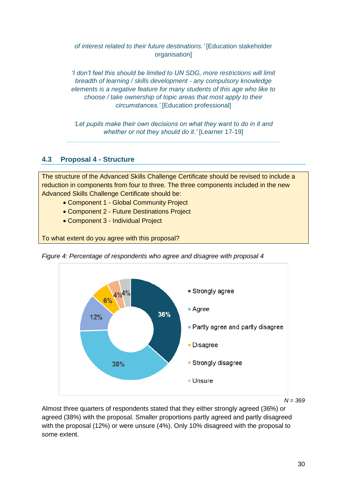*of interest related to their future destinations.'* [Education stakeholder organisation]

*'I don't feel this should be limited to UN SDG, more restrictions will limit breadth of learning / skills development - any compulsory knowledge elements is a negative feature for many students of this age who like to choose / take ownership of topic areas that most apply to their circumstances.'* [Education professional]

*'Let pupils make their own decisions on what they want to do in it and whether or not they should do it.'* [Learner 17-19]

# <span id="page-29-0"></span>**4.3 Proposal 4 - Structure**

The structure of the Advanced Skills Challenge Certificate should be revised to include a reduction in components from four to three. The three components included in the new Advanced Skills Challenge Certificate should be:

- Component 1 Global Community Project
- Component 2 Future Destinations Project
- Component 3 Individual Project

To what extent do you agree with this proposal?



*Figure 4: Percentage of respondents who agree and disagree with proposal 4*

Almost three quarters of respondents stated that they either strongly agreed (36%) or agreed (38%) with the proposal. Smaller proportions partly agreed and partly disagreed with the proposal (12%) or were unsure (4%). Only 10% disagreed with the proposal to some extent.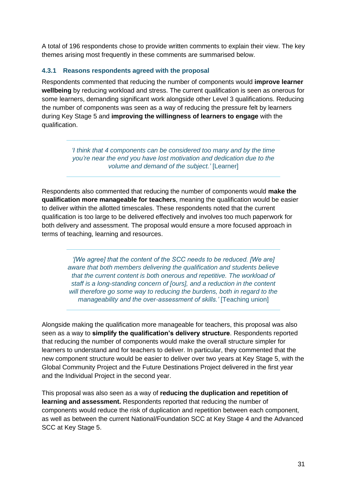A total of 196 respondents chose to provide written comments to explain their view. The key themes arising most frequently in these comments are summarised below.

#### **4.3.1 Reasons respondents agreed with the proposal**

Respondents commented that reducing the number of components would **improve learner wellbeing** by reducing workload and stress. The current qualification is seen as onerous for some learners, demanding significant work alongside other Level 3 qualifications. Reducing the number of components was seen as a way of reducing the pressure felt by learners during Key Stage 5 and **improving the willingness of learners to engage** with the qualification.

> *'I think that 4 components can be considered too many and by the time you're near the end you have lost motivation and dedication due to the volume and demand of the subject.'* [Learner]

Respondents also commented that reducing the number of components would **make the qualification more manageable for teachers**, meaning the qualification would be easier to deliver within the allotted timescales. These respondents noted that the current qualification is too large to be delivered effectively and involves too much paperwork for both delivery and assessment. The proposal would ensure a more focused approach in terms of teaching, learning and resources.

*'[We agree] that the content of the SCC needs to be reduced. [We are] aware that both members delivering the qualification and students believe that the current content is both onerous and repetitive. The workload of staff is a long-standing concern of [ours], and a reduction in the content will therefore go some way to reducing the burdens, both in regard to the manageability and the over-assessment of skills.'* [Teaching union]

Alongside making the qualification more manageable for teachers, this proposal was also seen as a way to **simplify the qualification's delivery structure**. Respondents reported that reducing the number of components would make the overall structure simpler for learners to understand and for teachers to deliver. In particular, they commented that the new component structure would be easier to deliver over two years at Key Stage 5, with the Global Community Project and the Future Destinations Project delivered in the first year and the Individual Project in the second year.

This proposal was also seen as a way of **reducing the duplication and repetition of learning and assessment.** Respondents reported that reducing the number of components would reduce the risk of duplication and repetition between each component, as well as between the current National/Foundation SCC at Key Stage 4 and the Advanced SCC at Key Stage 5.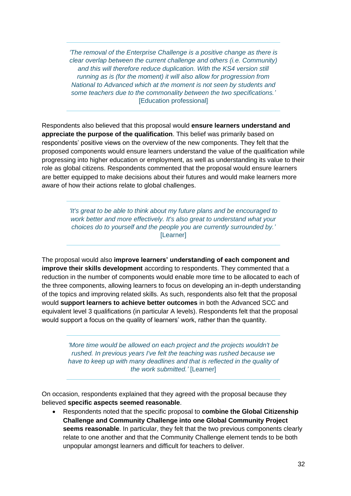*'The removal of the Enterprise Challenge is a positive change as there is clear overlap between the current challenge and others (i.e. Community) and this will therefore reduce duplication. With the KS4 version still running as is (for the moment) it will also allow for progression from National to Advanced which at the moment is not seen by students and some teachers due to the commonality between the two specifications.'*  [Education professional]

Respondents also believed that this proposal would **ensure learners understand and appreciate the purpose of the qualification**. This belief was primarily based on respondents' positive views on the overview of the new components. They felt that the proposed components would ensure learners understand the value of the qualification while progressing into higher education or employment, as well as understanding its value to their role as global citizens. Respondents commented that the proposal would ensure learners are better equipped to make decisions about their futures and would make learners more aware of how their actions relate to global challenges.

> *'It's great to be able to think about my future plans and be encouraged to work better and more effectively. It's also great to understand what your choices do to yourself and the people you are currently surrounded by.'*  [Learner]

The proposal would also **improve learners' understanding of each component and improve their skills development** according to respondents. They commented that a reduction in the number of components would enable more time to be allocated to each of the three components, allowing learners to focus on developing an in-depth understanding of the topics and improving related skills. As such, respondents also felt that the proposal would **support learners to achieve better outcomes** in both the Advanced SCC and equivalent level 3 qualifications (in particular A levels). Respondents felt that the proposal would support a focus on the quality of learners' work, rather than the quantity.

> *'More time would be allowed on each project and the projects wouldn't be rushed. In previous years I've felt the teaching was rushed because we have to keep up with many deadlines and that is reflected in the quality of the work submitted.'* [Learner]

On occasion, respondents explained that they agreed with the proposal because they believed **specific aspects seemed reasonable**.

• Respondents noted that the specific proposal to **combine the Global Citizenship Challenge and Community Challenge into one Global Community Project seems reasonable**. In particular, they felt that the two previous components clearly relate to one another and that the Community Challenge element tends to be both unpopular amongst learners and difficult for teachers to deliver.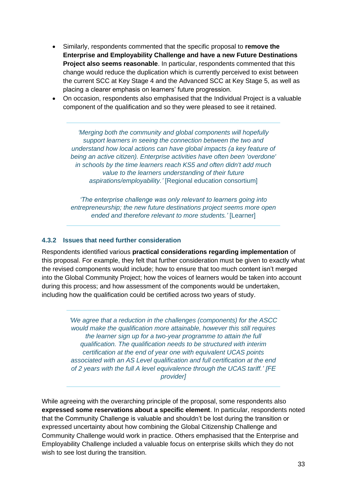- Similarly, respondents commented that the specific proposal to **remove the Enterprise and Employability Challenge and have a new Future Destinations Project also seems reasonable**. In particular, respondents commented that this change would reduce the duplication which is currently perceived to exist between the current SCC at Key Stage 4 and the Advanced SCC at Key Stage 5, as well as placing a clearer emphasis on learners' future progression.
- On occasion, respondents also emphasised that the Individual Project is a valuable component of the qualification and so they were pleased to see it retained.

*'Merging both the community and global components will hopefully support learners in seeing the connection between the two and understand how local actions can have global impacts (a key feature of being an active citizen). Enterprise activities have often been 'overdone' in schools by the time learners reach KS5 and often didn't add much value to the learners understanding of their future aspirations/employability.'* [Regional education consortium]

*'The enterprise challenge was only relevant to learners going into entrepreneurship; the new future destinations project seems more open ended and therefore relevant to more students.'* [Learner]

#### **4.3.2 Issues that need further consideration**

Respondents identified various **practical considerations regarding implementation** of this proposal. For example, they felt that further consideration must be given to exactly what the revised components would include; how to ensure that too much content isn't merged into the Global Community Project; how the voices of learners would be taken into account during this process; and how assessment of the components would be undertaken, including how the qualification could be certified across two years of study.

> *'We agree that a reduction in the challenges (components) for the ASCC would make the qualification more attainable, however this still requires the learner sign up for a two-year programme to attain the full qualification. The qualification needs to be structured with interim certification at the end of year one with equivalent UCAS points associated with an AS Level qualification and full certification at the end of 2 years with the full A level equivalence through the UCAS tariff.' [FE provider]*

While agreeing with the overarching principle of the proposal, some respondents also **expressed some reservations about a specific element**. In particular, respondents noted that the Community Challenge is valuable and shouldn't be lost during the transition or expressed uncertainty about how combining the Global Citizenship Challenge and Community Challenge would work in practice. Others emphasised that the Enterprise and Employability Challenge included a valuable focus on enterprise skills which they do not wish to see lost during the transition.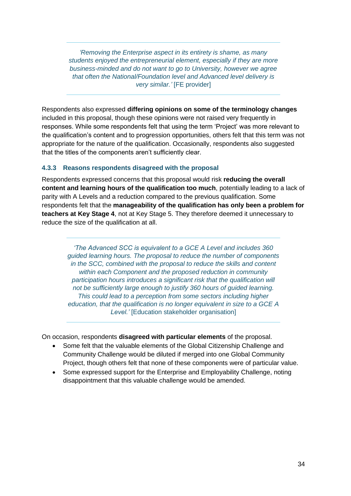*'Removing the Enterprise aspect in its entirety is shame, as many students enjoyed the entrepreneurial element, especially if they are more business-minded and do not want to go to University, however we agree that often the National/Foundation level and Advanced level delivery is very similar.'* [FE provider]

Respondents also expressed **differing opinions on some of the terminology changes** included in this proposal, though these opinions were not raised very frequently in responses. While some respondents felt that using the term 'Project' was more relevant to the qualification's content and to progression opportunities, others felt that this term was not appropriate for the nature of the qualification. Occasionally, respondents also suggested that the titles of the components aren't sufficiently clear.

#### **4.3.3 Reasons respondents disagreed with the proposal**

Respondents expressed concerns that this proposal would risk **reducing the overall content and learning hours of the qualification too much**, potentially leading to a lack of parity with A Levels and a reduction compared to the previous qualification. Some respondents felt that the **manageability of the qualification has only been a problem for teachers at Key Stage 4**, not at Key Stage 5. They therefore deemed it unnecessary to reduce the size of the qualification at all.

*'The Advanced SCC is equivalent to a GCE A Level and includes 360 guided learning hours. The proposal to reduce the number of components in the SCC, combined with the proposal to reduce the skills and content within each Component and the proposed reduction in community participation hours introduces a significant risk that the qualification will not be sufficiently large enough to justify 360 hours of guided learning. This could lead to a perception from some sectors including higher education, that the qualification is no longer equivalent in size to a GCE A*  Level.' [Education stakeholder organisation]

On occasion, respondents **disagreed with particular elements** of the proposal.

- Some felt that the valuable elements of the Global Citizenship Challenge and Community Challenge would be diluted if merged into one Global Community Project, though others felt that none of these components were of particular value.
- <span id="page-33-0"></span>• Some expressed support for the Enterprise and Employability Challenge, noting disappointment that this valuable challenge would be amended.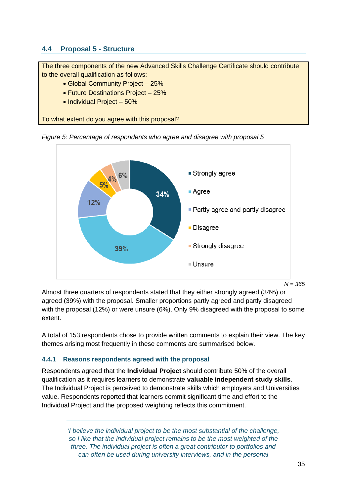# **4.4 Proposal 5 - Structure**

The three components of the new Advanced Skills Challenge Certificate should contribute to the overall qualification as follows:

- Global Community Project 25%
- Future Destinations Project 25%
- Individual Project 50%

To what extent do you agree with this proposal?





*N = 365*

Almost three quarters of respondents stated that they either strongly agreed (34%) or agreed (39%) with the proposal. Smaller proportions partly agreed and partly disagreed with the proposal (12%) or were unsure (6%). Only 9% disagreed with the proposal to some extent.

A total of 153 respondents chose to provide written comments to explain their view. The key themes arising most frequently in these comments are summarised below.

#### **4.4.1 Reasons respondents agreed with the proposal**

Respondents agreed that the **Individual Project** should contribute 50% of the overall qualification as it requires learners to demonstrate **valuable independent study skills**. The Individual Project is perceived to demonstrate skills which employers and Universities value. Respondents reported that learners commit significant time and effort to the Individual Project and the proposed weighting reflects this commitment.

> *'I believe the individual project to be the most substantial of the challenge, so I like that the individual project remains to be the most weighted of the three. The individual project is often a great contributor to portfolios and can often be used during university interviews, and in the personal*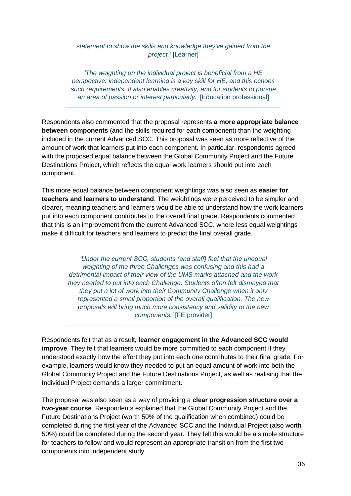#### *statement to show the skills and knowledge they've gained from the project.'* [Learner]

*'The weighting on the individual project is beneficial from a HE perspective: independent learning is a key skill for HE, and this echoes such requirements. It also enables creativity, and for students to pursue an area of passion or interest particularly.'* [Education professional]

Respondents also commented that the proposal represents **a more appropriate balance between components** (and the skills required for each component) than the weighting included in the current Advanced SCC. This proposal was seen as more reflective of the amount of work that learners put into each component. In particular, respondents agreed with the proposed equal balance between the Global Community Project and the Future Destinations Project, which reflects the equal work learners should put into each component.

This more equal balance between component weightings was also seen as **easier for teachers and learners to understand**. The weightings were perceived to be simpler and clearer, meaning teachers and learners would be able to understand how the work learners put into each component contributes to the overall final grade. Respondents commented that this is an improvement from the current Advanced SCC, where less equal weightings make it difficult for teachers and learners to predict the final overall grade.

> *'Under the current SCC, students (and staff) feel that the unequal weighting of the three Challenges was confusing and this had a detrimental impact of their view of the UMS marks attached and the work they needed to put into each Challenge. Students often felt dismayed that they put a lot of work into their Community Challenge when it only represented a small proportion of the overall qualification. The new proposals will bring much more consistency and validity to the new components.'* [FE provider]

Respondents felt that as a result, **learner engagement in the Advanced SCC would improve**. They felt that learners would be more committed to each component if they understood exactly how the effort they put into each one contributes to their final grade. For example, learners would know they needed to put an equal amount of work into both the Global Community Project and the Future Destinations Project, as well as realising that the Individual Project demands a larger commitment.

The proposal was also seen as a way of providing a **clear progression structure over a two-year course**. Respondents explained that the Global Community Project and the Future Destinations Project (worth 50% of the qualification when combined) could be completed during the first year of the Advanced SCC and the Individual Project (also worth 50%) could be completed during the second year. They felt this would be a simple structure for teachers to follow and would represent an appropriate transition from the first two components into independent study.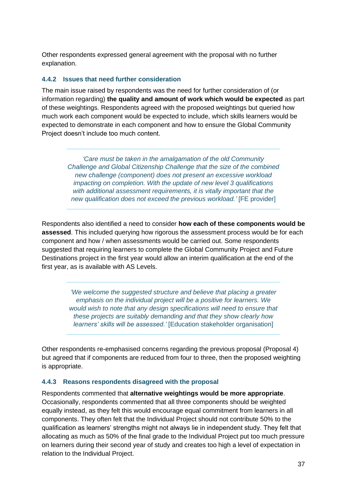Other respondents expressed general agreement with the proposal with no further explanation.

#### **4.4.2 Issues that need further consideration**

The main issue raised by respondents was the need for further consideration of (or information regarding) **the quality and amount of work which would be expected** as part of these weightings. Respondents agreed with the proposed weightings but queried how much work each component would be expected to include, which skills learners would be expected to demonstrate in each component and how to ensure the Global Community Project doesn't include too much content.

*'Care must be taken in the amalgamation of the old Community Challenge and Global Citizenship Challenge that the size of the combined new challenge (component) does not present an excessive workload impacting on completion. With the update of new level 3 qualifications with additional assessment requirements, it is vitally important that the new qualification does not exceed the previous workload.'* [FE provider]

Respondents also identified a need to consider **how each of these components would be assessed**. This included querying how rigorous the assessment process would be for each component and how / when assessments would be carried out. Some respondents suggested that requiring learners to complete the Global Community Project and Future Destinations project in the first year would allow an interim qualification at the end of the first year, as is available with AS Levels.

> *'We welcome the suggested structure and believe that placing a greater emphasis on the individual project will be a positive for learners. We would wish to note that any design specifications will need to ensure that these projects are suitably demanding and that they show clearly how learners' skills will be assessed.'* [Education stakeholder organisation]

Other respondents re-emphasised concerns regarding the previous proposal (Proposal 4) but agreed that if components are reduced from four to three, then the proposed weighting is appropriate.

#### **4.4.3 Reasons respondents disagreed with the proposal**

Respondents commented that **alternative weightings would be more appropriate**. Occasionally, respondents commented that all three components should be weighted equally instead, as they felt this would encourage equal commitment from learners in all components. They often felt that the Individual Project should not contribute 50% to the qualification as learners' strengths might not always lie in independent study. They felt that allocating as much as 50% of the final grade to the Individual Project put too much pressure on learners during their second year of study and creates too high a level of expectation in relation to the Individual Project.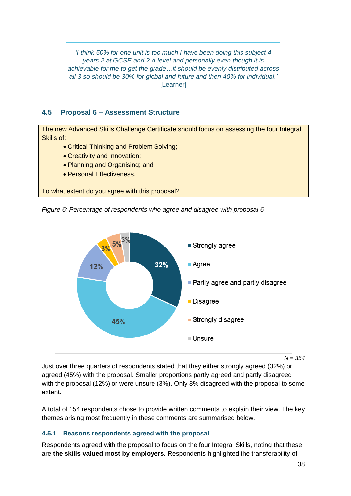*'I think 50% for one unit is too much I have been doing this subject 4 years 2 at GCSE and 2 A level and personally even though it is achievable for me to get the grade…it should be evenly distributed across all 3 so should be 30% for global and future and then 40% for individual.'*  [Learner]

# <span id="page-37-0"></span>**4.5 Proposal 6 – Assessment Structure**

The new Advanced Skills Challenge Certificate should focus on assessing the four Integral Skills of:

- Critical Thinking and Problem Solving;
- Creativity and Innovation;
- Planning and Organising; and
- Personal Effectiveness.

To what extent do you agree with this proposal?





*N = 354*

Just over three quarters of respondents stated that they either strongly agreed (32%) or agreed (45%) with the proposal. Smaller proportions partly agreed and partly disagreed with the proposal (12%) or were unsure (3%). Only 8% disagreed with the proposal to some extent.

A total of 154 respondents chose to provide written comments to explain their view. The key themes arising most frequently in these comments are summarised below.

#### **4.5.1 Reasons respondents agreed with the proposal**

Respondents agreed with the proposal to focus on the four Integral Skills, noting that these are **the skills valued most by employers.** Respondents highlighted the transferability of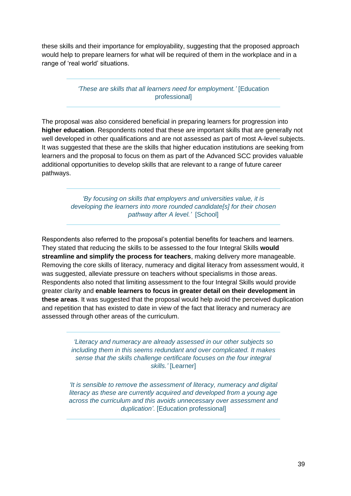these skills and their importance for employability, suggesting that the proposed approach would help to prepare learners for what will be required of them in the workplace and in a range of 'real world' situations.

> *'These are skills that all learners need for employment.'* [Education professional]

The proposal was also considered beneficial in preparing learners for progression into **higher education**. Respondents noted that these are important skills that are generally not well developed in other qualifications and are not assessed as part of most A-level subjects. It was suggested that these are the skills that higher education institutions are seeking from learners and the proposal to focus on them as part of the Advanced SCC provides valuable additional opportunities to develop skills that are relevant to a range of future career pathways.

> *'By focusing on skills that employers and universities value, it is developing the learners into more rounded candidate[s] for their chosen pathway after A level.'* [School]

Respondents also referred to the proposal's potential benefits for teachers and learners. They stated that reducing the skills to be assessed to the four Integral Skills **would streamline and simplify the process for teachers**, making delivery more manageable. Removing the core skills of literacy, numeracy and digital literacy from assessment would, it was suggested, alleviate pressure on teachers without specialisms in those areas. Respondents also noted that limiting assessment to the four Integral Skills would provide greater clarity and **enable learners to focus in greater detail on their development in these areas**. It was suggested that the proposal would help avoid the perceived duplication and repetition that has existed to date in view of the fact that literacy and numeracy are assessed through other areas of the curriculum.

> *'Literacy and numeracy are already assessed in our other subjects so including them in this seems redundant and over complicated. It makes sense that the skills challenge certificate focuses on the four integral skills.'* [Learner]

*'It is sensible to remove the assessment of literacy, numeracy and digital literacy as these are currently acquired and developed from a young age across the curriculum and this avoids unnecessary over assessment and duplication'*. [Education professional]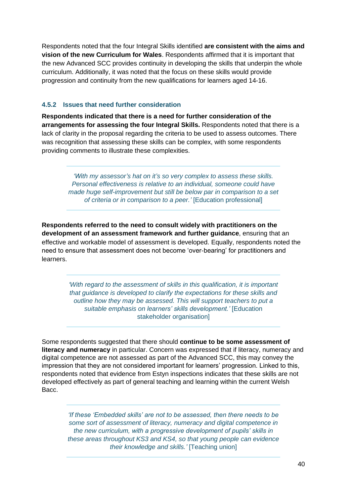Respondents noted that the four Integral Skills identified **are consistent with the aims and vision of the new Curriculum for Wales**. Respondents affirmed that it is important that the new Advanced SCC provides continuity in developing the skills that underpin the whole curriculum. Additionally, it was noted that the focus on these skills would provide progression and continuity from the new qualifications for learners aged 14-16.

#### **4.5.2 Issues that need further consideration**

**Respondents indicated that there is a need for further consideration of the arrangements for assessing the four Integral Skills.** Respondents noted that there is a lack of clarity in the proposal regarding the criteria to be used to assess outcomes. There was recognition that assessing these skills can be complex, with some respondents providing comments to illustrate these complexities.

> *'With my assessor's hat on it's so very complex to assess these skills. Personal effectiveness is relative to an individual, someone could have made huge self-improvement but still be below par in comparison to a set of criteria or in comparison to a peer.'* [Education professional]

**Respondents referred to the need to consult widely with practitioners on the development of an assessment framework and further guidance**, ensuring that an effective and workable model of assessment is developed. Equally, respondents noted the need to ensure that assessment does not become 'over-bearing' for practitioners and learners.

> *'With regard to the assessment of skills in this qualification, it is important that guidance is developed to clarify the expectations for these skills and outline how they may be assessed. This will support teachers to put a suitable emphasis on learners' skills development.'* [Education stakeholder organisation]

Some respondents suggested that there should **continue to be some assessment of literacy and numeracy** in particular. Concern was expressed that if literacy, numeracy and digital competence are not assessed as part of the Advanced SCC, this may convey the impression that they are not considered important for learners' progression. Linked to this, respondents noted that evidence from Estyn inspections indicates that these skills are not developed effectively as part of general teaching and learning within the current Welsh Bacc.

*'If these 'Embedded skills' are not to be assessed, then there needs to be some sort of assessment of literacy, numeracy and digital competence in the new curriculum, with a progressive development of pupils' skills in these areas throughout KS3 and KS4, so that young people can evidence their knowledge and skills.'* [Teaching union]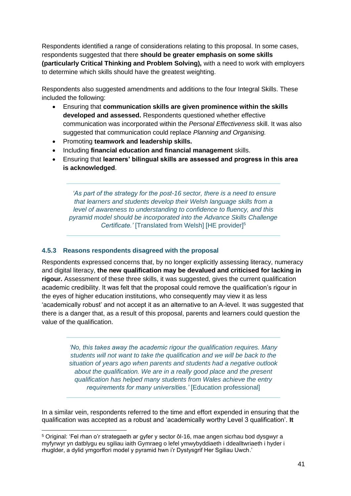Respondents identified a range of considerations relating to this proposal. In some cases, respondents suggested that there **should be greater emphasis on some skills (particularly Critical Thinking and Problem Solving),** with a need to work with employers to determine which skills should have the greatest weighting.

Respondents also suggested amendments and additions to the four Integral Skills. These included the following:

- Ensuring that **communication skills are given prominence within the skills developed and assessed.** Respondents questioned whether effective communication was incorporated within the *Personal Effectiveness* skill. It was also suggested that communication could replace *Planning and Organising.*
- Promoting **teamwork and leadership skills.**
- Including **financial education and financial management** skills.
- Ensuring that **learners' bilingual skills are assessed and progress in this area is acknowledged**.

'As part of the strategy for the post-16 sector, there is a need to ensure *that learners and students develop their Welsh language skills from a level of awareness to understanding to confidence to fluency, and this pyramid model should be incorporated into the Advance Skills Challenge Certificate.'* [Translated from Welsh] [HE provider]<sup>5</sup>

#### **4.5.3 Reasons respondents disagreed with the proposal**

Respondents expressed concerns that, by no longer explicitly assessing literacy, numeracy and digital literacy, **the new qualification may be devalued and criticised for lacking in rigour.** Assessment of these three skills, it was suggested, gives the current qualification academic credibility. It was felt that the proposal could remove the qualification's rigour in the eyes of higher education institutions, who consequently may view it as less 'academically robust' and not accept it as an alternative to an A-level. It was suggested that there is a danger that, as a result of this proposal, parents and learners could question the value of the qualification.

> *'No, this takes away the academic rigour the qualification requires. Many students will not want to take the qualification and we will be back to the situation of years ago when parents and students had a negative outlook about the qualification. We are in a really good place and the present qualification has helped many students from Wales achieve the entry requirements for many universities.'* [Education professional]

In a similar vein, respondents referred to the time and effort expended in ensuring that the qualification was accepted as a robust and 'academically worthy Level 3 qualification'. **It** 

<sup>5</sup> Original: 'Fel rhan o'r strategaeth ar gyfer y sector ôl-16, mae angen sicrhau bod dysgwyr a myfyrwyr yn datblygu eu sgiliau iaith Gymraeg o lefel ymwybyddiaeth i ddealltwriaeth i hyder i rhuglder, a dylid ymgorffori model y pyramid hwn i'r Dystysgrif Her Sgiliau Uwch.'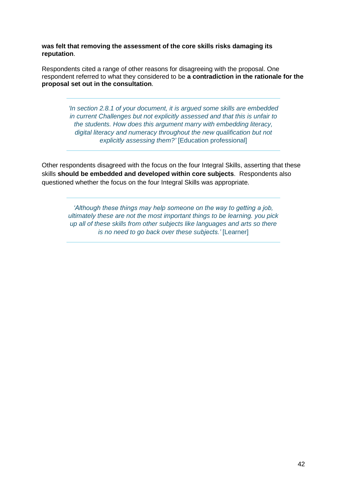**was felt that removing the assessment of the core skills risks damaging its reputation**.

Respondents cited a range of other reasons for disagreeing with the proposal. One respondent referred to what they considered to be **a contradiction in the rationale for the proposal set out in the consultation**.

> *'In section 2.8.1 of your document, it is argued some skills are embedded in current Challenges but not explicitly assessed and that this is unfair to the students. How does this argument marry with embedding literacy, digital literacy and numeracy throughout the new qualification but not explicitly assessing them?'* [Education professional]

Other respondents disagreed with the focus on the four Integral Skills, asserting that these skills **should be embedded and developed within core subjects**. Respondents also questioned whether the focus on the four Integral Skills was appropriate.

> <span id="page-41-0"></span>*'Although these things may help someone on the way to getting a job, ultimately these are not the most important things to be learning. you pick up all of these skills from other subjects like languages and arts so there is no need to go back over these subjects.'* [Learner]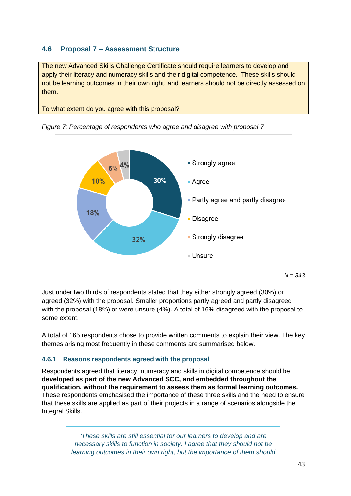# **4.6 Proposal 7 – Assessment Structure**

The new Advanced Skills Challenge Certificate should require learners to develop and apply their literacy and numeracy skills and their digital competence. These skills should not be learning outcomes in their own right, and learners should not be directly assessed on them.

To what extent do you agree with this proposal?



*Figure 7: Percentage of respondents who agree and disagree with proposal 7*

Just under two thirds of respondents stated that they either strongly agreed (30%) or agreed (32%) with the proposal. Smaller proportions partly agreed and partly disagreed with the proposal (18%) or were unsure (4%). A total of 16% disagreed with the proposal to some extent.

A total of 165 respondents chose to provide written comments to explain their view. The key themes arising most frequently in these comments are summarised below.

#### **4.6.1 Reasons respondents agreed with the proposal**

Respondents agreed that literacy, numeracy and skills in digital competence should be **developed as part of the new Advanced SCC, and embedded throughout the qualification, without the requirement to assess them as formal learning outcomes.** These respondents emphasised the importance of these three skills and the need to ensure that these skills are applied as part of their projects in a range of scenarios alongside the Integral Skills.

> *'These skills are still essential for our learners to develop and are necessary skills to function in society. I agree that they should not be learning outcomes in their own right, but the importance of them should*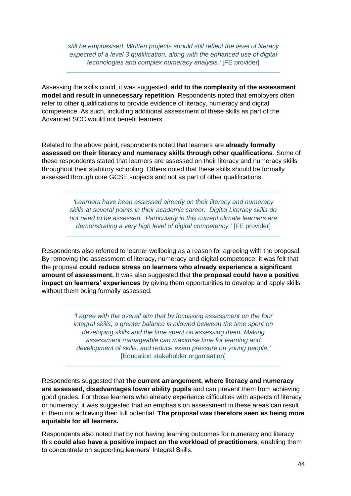*still be emphasised. Written projects should still reflect the level of literacy expected of a level 3 qualification, along with the enhanced use of digital technologies and complex numeracy analysis.'* [FE provider]

Assessing the skills could, it was suggested, **add to the complexity of the assessment model and result in unnecessary repetition**. Respondents noted that employers often refer to other qualifications to provide evidence of literacy, numeracy and digital competence. As such, including additional assessment of these skills as part of the Advanced SCC would not benefit learners.

Related to the above point, respondents noted that learners are **already formally assessed on their literacy and numeracy skills through other qualifications**. Some of these respondents stated that learners are assessed on their literacy and numeracy skills throughout their statutory schooling. Others noted that these skills should be formally assessed through core GCSE subjects and not as part of other qualifications.

> *'Learners have been assessed already on their literacy and numeracy skills at several points in their academic career. Digital Literacy skills do not need to be assessed. Particularly in this current climate learners are demonstrating a very high level of digital competency.'* [FE provider]

Respondents also referred to learner wellbeing as a reason for agreeing with the proposal. By removing the assessment of literacy, numeracy and digital competence, it was felt that the proposal **could reduce stress on learners who already experience a significant amount of assessment.** It was also suggested that **the proposal could have a positive impact on learners' experiences** by giving them opportunities to develop and apply skills without them being formally assessed.

> *'I agree with the overall aim that by focussing assessment on the four integral skills, a greater balance is allowed between the time spent on developing skills and the time spent on assessing them. Making assessment manageable can maximise time for learning and development of skills, and reduce exam pressure on young people.'*  [Education stakeholder organisation]

Respondents suggested that **the current arrangement, where literacy and numeracy are assessed, disadvantages lower ability pupils** and can prevent them from achieving good grades. For those learners who already experience difficulties with aspects of literacy or numeracy, it was suggested that an emphasis on assessment in these areas can result in them not achieving their full potential. **The proposal was therefore seen as being more equitable for all learners.**

Respondents also noted that by not having learning outcomes for numeracy and literacy this **could also have a positive impact on the workload of practitioners**, enabling them to concentrate on supporting learners' Integral Skills.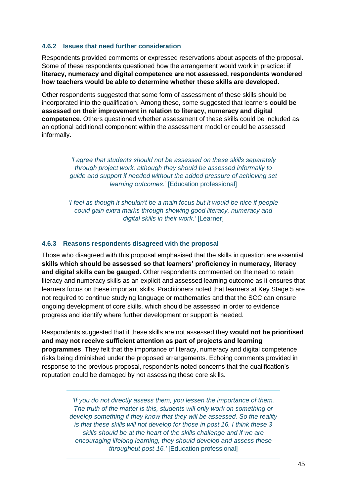#### **4.6.2 Issues that need further consideration**

Respondents provided comments or expressed reservations about aspects of the proposal. Some of these respondents questioned how the arrangement would work in practice: **if literacy, numeracy and digital competence are not assessed, respondents wondered how teachers would be able to determine whether these skills are developed.**

Other respondents suggested that some form of assessment of these skills should be incorporated into the qualification. Among these, some suggested that learners **could be assessed on their improvement in relation to literacy, numeracy and digital competence**. Others questioned whether assessment of these skills could be included as an optional additional component within the assessment model or could be assessed informally.

> *'I agree that students should not be assessed on these skills separately through project work, although they should be assessed informally to guide and support if needed without the added pressure of achieving set learning outcomes.'* [Education professional]

> *'I feel as though it shouldn't be a main focus but it would be nice if people could gain extra marks through showing good literacy, numeracy and digital skills in their work.'* [Learner]

#### **4.6.3 Reasons respondents disagreed with the proposal**

Those who disagreed with this proposal emphasised that the skills in question are essential **skills which should be assessed so that learners' proficiency in numeracy, literacy and digital skills can be gauged.** Other respondents commented on the need to retain literacy and numeracy skills as an explicit and assessed learning outcome as it ensures that learners focus on these important skills. Practitioners noted that learners at Key Stage 5 are not required to continue studying language or mathematics and that the SCC can ensure ongoing development of core skills, which should be assessed in order to evidence progress and identify where further development or support is needed.

Respondents suggested that if these skills are not assessed they **would not be prioritised and may not receive sufficient attention as part of projects and learning programmes**. They felt that the importance of literacy, numeracy and digital competence risks being diminished under the proposed arrangements. Echoing comments provided in response to the previous proposal, respondents noted concerns that the qualification's reputation could be damaged by not assessing these core skills.

> *'If you do not directly assess them, you lessen the importance of them. The truth of the matter is this, students will only work on something or develop something if they know that they will be assessed. So the reality is that these skills will not develop for those in post 16. I think these 3 skills should be at the heart of the skills challenge and if we are encouraging lifelong learning, they should develop and assess these throughout post-16.'* [Education professional]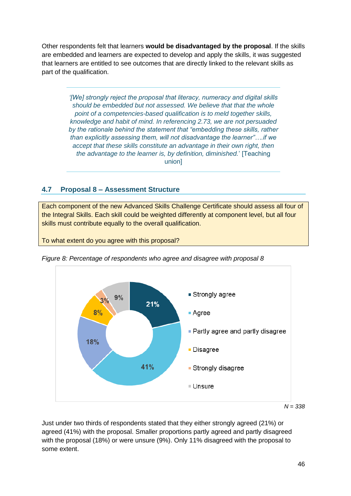Other respondents felt that learners **would be disadvantaged by the proposal**. If the skills are embedded and learners are expected to develop and apply the skills, it was suggested that learners are entitled to see outcomes that are directly linked to the relevant skills as part of the qualification.

> *'[We] strongly reject the proposal that literacy, numeracy and digital skills should be embedded but not assessed. We believe that that the whole point of a competencies-based qualification is to meld together skills, knowledge and habit of mind. In referencing 2.73, we are not persuaded by the rationale behind the statement that "embedding these skills, rather than explicitly assessing them, will not disadvantage the learner"….if we accept that these skills constitute an advantage in their own right, then the advantage to the learner is, by definition, diminished.*' [Teaching union]

# <span id="page-45-0"></span>**4.7 Proposal 8 – Assessment Structure**

Each component of the new Advanced Skills Challenge Certificate should assess all four of the Integral Skills. Each skill could be weighted differently at component level, but all four skills must contribute equally to the overall qualification.

To what extent do you agree with this proposal?



*Figure 8: Percentage of respondents who agree and disagree with proposal 8*

Just under two thirds of respondents stated that they either strongly agreed (21%) or agreed (41%) with the proposal. Smaller proportions partly agreed and partly disagreed with the proposal (18%) or were unsure (9%). Only 11% disagreed with the proposal to some extent.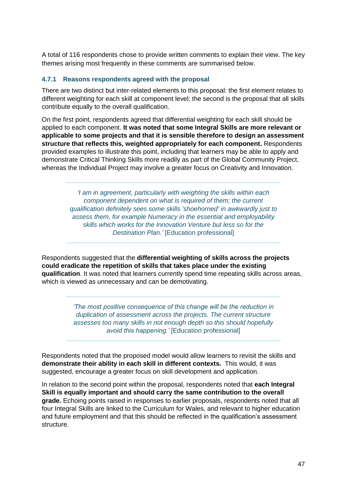A total of 116 respondents chose to provide written comments to explain their view. The key themes arising most frequently in these comments are summarised below.

#### **4.7.1 Reasons respondents agreed with the proposal**

There are two distinct but inter-related elements to this proposal: the first element relates to different weighting for each skill at component level; the second is the proposal that all skills contribute equally to the overall qualification.

On the first point, respondents agreed that differential weighting for each skill should be applied to each component. **It was noted that some Integral Skills are more relevant or applicable to some projects and that it is sensible therefore to design an assessment structure that reflects this, weighted appropriately for each component.** Respondents provided examples to illustrate this point, including that learners may be able to apply and demonstrate Critical Thinking Skills more readily as part of the Global Community Project, whereas the Individual Project may involve a greater focus on Creativity and Innovation.

> *'I am in agreement, particularly with weighting the skills within each component dependent on what is required of them; the current qualification definitely sees some skills 'shoehorned' in awkwardly just to assess them, for example Numeracy in the essential and employability skills which works for the Innovation Venture but less so for the Destination Plan.'* [Education professional]

Respondents suggested that the **differential weighting of skills across the projects could eradicate the repetition of skills that takes place under the existing qualification**. It was noted that learners currently spend time repeating skills across areas, which is viewed as unnecessary and can be demotivating.

> *'The most positive consequence of this change will be the reduction in duplication of assessment across the projects. The current structure assesses too many skills in not enough depth so this should hopefully avoid this happening.'* [Education professional]

Respondents noted that the proposed model would allow learners to revisit the skills and **demonstrate their ability in each skill in different contexts.** This would, it was suggested, encourage a greater focus on skill development and application.

In relation to the second point within the proposal, respondents noted that **each Integral Skill is equally important and should carry the same contribution to the overall grade.** Echoing points raised in responses to earlier proposals, respondents noted that all four Integral Skills are linked to the Curriculum for Wales, and relevant to higher education and future employment and that this should be reflected in the qualification's assessment structure.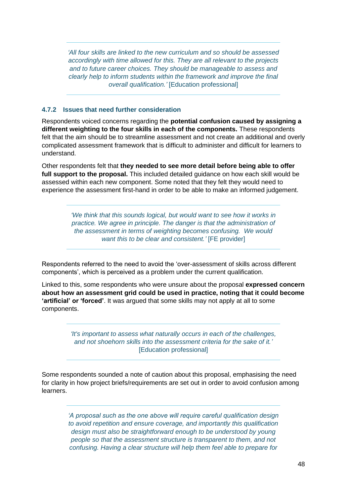*'All four skills are linked to the new curriculum and so should be assessed accordingly with time allowed for this. They are all relevant to the projects and to future career choices. They should be manageable to assess and clearly help to inform students within the framework and improve the final overall qualification.'* [Education professional]

#### **4.7.2 Issues that need further consideration**

Respondents voiced concerns regarding the **potential confusion caused by assigning a different weighting to the four skills in each of the components.** These respondents felt that the aim should be to streamline assessment and not create an additional and overly complicated assessment framework that is difficult to administer and difficult for learners to understand.

Other respondents felt that **they needed to see more detail before being able to offer full support to the proposal.** This included detailed guidance on how each skill would be assessed within each new component. Some noted that they felt they would need to experience the assessment first-hand in order to be able to make an informed judgement.

> *'We think that this sounds logical, but would want to see how it works in practice. We agree in principle. The danger is that the administration of the assessment in terms of weighting becomes confusing. We would want this to be clear and consistent.'* [FE provider]

Respondents referred to the need to avoid the 'over-assessment of skills across different components', which is perceived as a problem under the current qualification.

Linked to this, some respondents who were unsure about the proposal **expressed concern about how an assessment grid could be used in practice, noting that it could become 'artificial' or 'forced'**. It was argued that some skills may not apply at all to some components.

> *'It's important to assess what naturally occurs in each of the challenges, and not shoehorn skills into the assessment criteria for the sake of it.'* [Education professional]

Some respondents sounded a note of caution about this proposal, emphasising the need for clarity in how project briefs/requirements are set out in order to avoid confusion among learners.

> *'A proposal such as the one above will require careful qualification design to avoid repetition and ensure coverage, and importantly this qualification design must also be straightforward enough to be understood by young people so that the assessment structure is transparent to them, and not confusing. Having a clear structure will help them feel able to prepare for*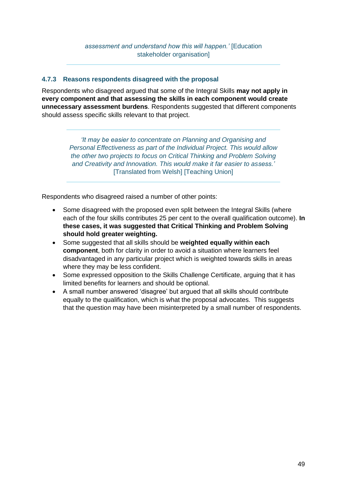#### **4.7.3 Reasons respondents disagreed with the proposal**

Respondents who disagreed argued that some of the Integral Skills **may not apply in every component and that assessing the skills in each component would create unnecessary assessment burdens**. Respondents suggested that different components should assess specific skills relevant to that project.

> *'It may be easier to concentrate on Planning and Organising and Personal Effectiveness as part of the Individual Project. This would allow the other two projects to focus on Critical Thinking and Problem Solving and Creativity and Innovation. This would make it far easier to assess.'*  [Translated from Welsh] [Teaching Union]

Respondents who disagreed raised a number of other points:

- Some disagreed with the proposed even split between the Integral Skills (where each of the four skills contributes 25 per cent to the overall qualification outcome). **In these cases, it was suggested that Critical Thinking and Problem Solving should hold greater weighting.**
- Some suggested that all skills should be **weighted equally within each component**, both for clarity in order to avoid a situation where learners feel disadvantaged in any particular project which is weighted towards skills in areas where they may be less confident.
- Some expressed opposition to the Skills Challenge Certificate, arguing that it has limited benefits for learners and should be optional.
- <span id="page-48-0"></span>• A small number answered 'disagree' but argued that all skills should contribute equally to the qualification, which is what the proposal advocates. This suggests that the question may have been misinterpreted by a small number of respondents.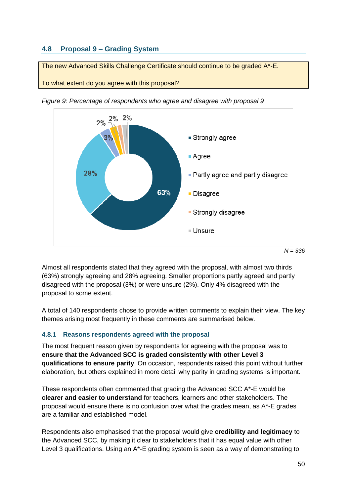# **4.8 Proposal 9 – Grading System**

The new Advanced Skills Challenge Certificate should continue to be graded A\*-E.

To what extent do you agree with this proposal?



*Figure 9: Percentage of respondents who agree and disagree with proposal 9*

Almost all respondents stated that they agreed with the proposal, with almost two thirds (63%) strongly agreeing and 28% agreeing. Smaller proportions partly agreed and partly disagreed with the proposal (3%) or were unsure (2%). Only 4% disagreed with the proposal to some extent.

A total of 140 respondents chose to provide written comments to explain their view. The key themes arising most frequently in these comments are summarised below.

#### **4.8.1 Reasons respondents agreed with the proposal**

The most frequent reason given by respondents for agreeing with the proposal was to **ensure that the Advanced SCC is graded consistently with other Level 3 qualifications to ensure parity**. On occasion, respondents raised this point without further elaboration, but others explained in more detail why parity in grading systems is important.

These respondents often commented that grading the Advanced SCC A\*-E would be **clearer and easier to understand** for teachers, learners and other stakeholders. The proposal would ensure there is no confusion over what the grades mean, as A\*-E grades are a familiar and established model.

Respondents also emphasised that the proposal would give **credibility and legitimacy** to the Advanced SCC, by making it clear to stakeholders that it has equal value with other Level 3 qualifications. Using an A\*-E grading system is seen as a way of demonstrating to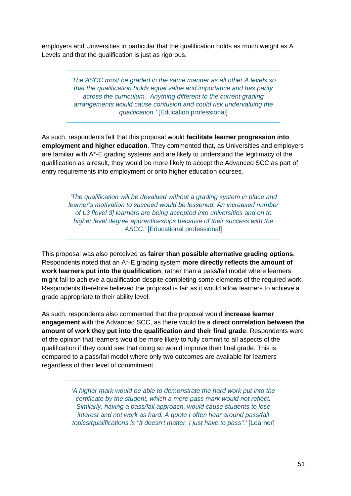employers and Universities in particular that the qualification holds as much weight as A Levels and that the qualification is just as rigorous.

> *'The ASCC must be graded in the same manner as all other A levels so that the qualification holds equal value and importance and has parity across the curriculum. Anything different to the current grading arrangements would cause confusion and could risk undervaluing the qualification.'* [Education professional]

As such, respondents felt that this proposal would **facilitate learner progression into employment and higher education**. They commented that, as Universities and employers are familiar with A\*-E grading systems and are likely to understand the legitimacy of the qualification as a result, they would be more likely to accept the Advanced SCC as part of entry requirements into employment or onto higher education courses.

*'The qualification will be devalued without a grading system in place and learner's motivation to succeed would be lessened. An increased number of L3 [level 3] learners are being accepted into universities and on to higher level degree apprenticeships because of their success with the ASCC.'* [Educational professional]

This proposal was also perceived as **fairer than possible alternative grading options**. Respondents noted that an A\*-E grading system **more directly reflects the amount of work learners put into the qualification**, rather than a pass/fail model where learners might fail to achieve a qualification despite completing some elements of the required work. Respondents therefore believed the proposal is fair as it would allow learners to achieve a grade appropriate to their ability level.

As such, respondents also commented that the proposal would **increase learner engagement** with the Advanced SCC, as there would be a **direct correlation between the amount of work they put into the qualification and their final grade**. Respondents were of the opinion that learners would be more likely to fully commit to all aspects of the qualification if they could see that doing so would improve their final grade. This is compared to a pass/fail model where only two outcomes are available for learners regardless of their level of commitment.

> *'A higher mark would be able to demonstrate the hard work put into the certificate by the student, which a mere pass mark would not reflect. Similarly, having a pass/fail approach, would cause students to lose interest and not work as hard. A quote I often hear around pass/fail topics/qualifications is "It doesn't matter, I just have to pass".'* [Learner]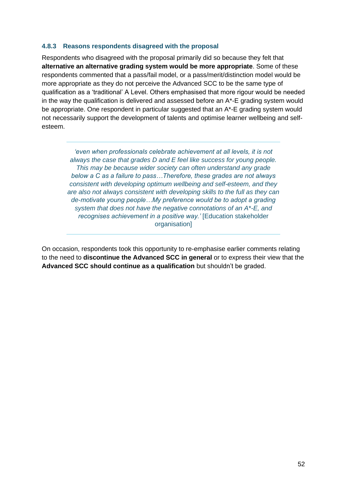#### **4.8.3 Reasons respondents disagreed with the proposal**

Respondents who disagreed with the proposal primarily did so because they felt that **alternative an alternative grading system would be more appropriate**. Some of these respondents commented that a pass/fail model, or a pass/merit/distinction model would be more appropriate as they do not perceive the Advanced SCC to be the same type of qualification as a 'traditional' A Level. Others emphasised that more rigour would be needed in the way the qualification is delivered and assessed before an  $A^*$ -E grading system would be appropriate. One respondent in particular suggested that an A<sup>\*</sup>-E grading system would not necessarily support the development of talents and optimise learner wellbeing and selfesteem.

*'even when professionals celebrate achievement at all levels, it is not always the case that grades D and E feel like success for young people. This may be because wider society can often understand any grade below a C as a failure to pass…Therefore, these grades are not always consistent with developing optimum wellbeing and self-esteem, and they are also not always consistent with developing skills to the full as they can de-motivate young people…My preference would be to adopt a grading system that does not have the negative connotations of an A\*-E, and recognises achievement in a positive way.'* [Education stakeholder organisation]

<span id="page-51-0"></span>On occasion, respondents took this opportunity to re-emphasise earlier comments relating to the need to **discontinue the Advanced SCC in general** or to express their view that the **Advanced SCC should continue as a qualification** but shouldn't be graded.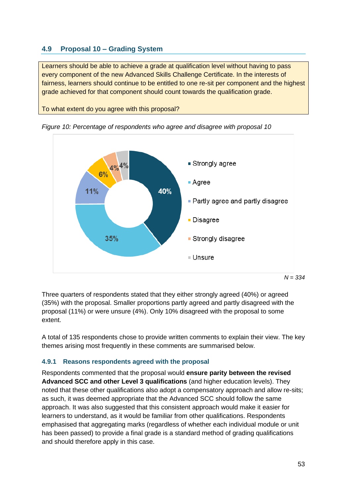# **4.9 Proposal 10 – Grading System**

Learners should be able to achieve a grade at qualification level without having to pass every component of the new Advanced Skills Challenge Certificate. In the interests of fairness, learners should continue to be entitled to one re-sit per component and the highest grade achieved for that component should count towards the qualification grade.

To what extent do you agree with this proposal?



*Figure 10: Percentage of respondents who agree and disagree with proposal 10*

Three quarters of respondents stated that they either strongly agreed (40%) or agreed (35%) with the proposal. Smaller proportions partly agreed and partly disagreed with the proposal (11%) or were unsure (4%). Only 10% disagreed with the proposal to some extent.

A total of 135 respondents chose to provide written comments to explain their view. The key themes arising most frequently in these comments are summarised below.

#### **4.9.1 Reasons respondents agreed with the proposal**

Respondents commented that the proposal would **ensure parity between the revised Advanced SCC and other Level 3 qualifications** (and higher education levels). They noted that these other qualifications also adopt a compensatory approach and allow re-sits; as such, it was deemed appropriate that the Advanced SCC should follow the same approach. It was also suggested that this consistent approach would make it easier for learners to understand, as it would be familiar from other qualifications. Respondents emphasised that aggregating marks (regardless of whether each individual module or unit has been passed) to provide a final grade is a standard method of grading qualifications and should therefore apply in this case.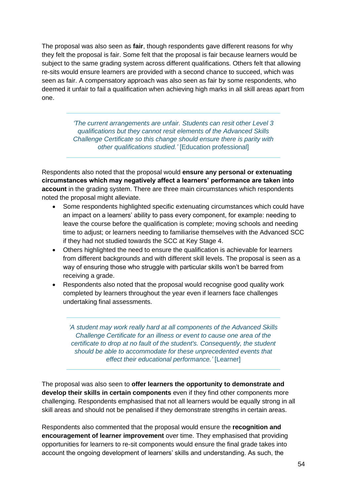The proposal was also seen as **fair**, though respondents gave different reasons for why they felt the proposal is fair. Some felt that the proposal is fair because learners would be subject to the same grading system across different qualifications. Others felt that allowing re-sits would ensure learners are provided with a second chance to succeed, which was seen as fair. A compensatory approach was also seen as fair by some respondents, who deemed it unfair to fail a qualification when achieving high marks in all skill areas apart from one.

> *'The current arrangements are unfair. Students can resit other Level 3 qualifications but they cannot resit elements of the Advanced Skills Challenge Certificate so this change should ensure there is parity with other qualifications studied.'* [Education professional]

Respondents also noted that the proposal would **ensure any personal or extenuating circumstances which may negatively affect a learners' performance are taken into account** in the grading system. There are three main circumstances which respondents noted the proposal might alleviate.

- Some respondents highlighted specific extenuating circumstances which could have an impact on a learners' ability to pass every component, for example: needing to leave the course before the qualification is complete; moving schools and needing time to adjust; or learners needing to familiarise themselves with the Advanced SCC if they had not studied towards the SCC at Key Stage 4.
- Others highlighted the need to ensure the qualification is achievable for learners from different backgrounds and with different skill levels. The proposal is seen as a way of ensuring those who struggle with particular skills won't be barred from receiving a grade.
- Respondents also noted that the proposal would recognise good quality work completed by learners throughout the year even if learners face challenges undertaking final assessments.

*'A student may work really hard at all components of the Advanced Skills Challenge Certificate for an illness or event to cause one area of the certificate to drop at no fault of the student's. Consequently, the student should be able to accommodate for these unprecedented events that effect their educational performance.'* [Learner]

The proposal was also seen to **offer learners the opportunity to demonstrate and develop their skills in certain components** even if they find other components more challenging. Respondents emphasised that not all learners would be equally strong in all skill areas and should not be penalised if they demonstrate strengths in certain areas.

Respondents also commented that the proposal would ensure the **recognition and encouragement of learner improvement** over time. They emphasised that providing opportunities for learners to re-sit components would ensure the final grade takes into account the ongoing development of learners' skills and understanding. As such, the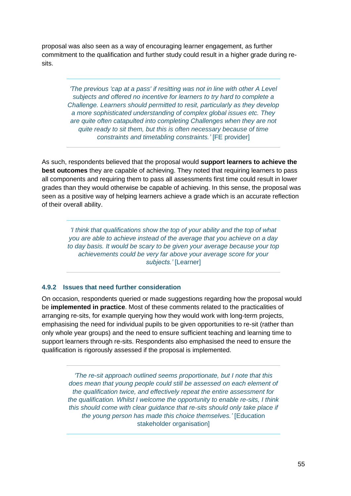proposal was also seen as a way of encouraging learner engagement, as further commitment to the qualification and further study could result in a higher grade during resits.

> *'The previous 'cap at a pass' if resitting was not in line with other A Level subjects and offered no incentive for learners to try hard to complete a Challenge. Learners should permitted to resit, particularly as they develop a more sophisticated understanding of complex global issues etc. They are quite often catapulted into completing Challenges when they are not quite ready to sit them, but this is often necessary because of time constraints and timetabling constraints.'* [FE provider]

As such, respondents believed that the proposal would **support learners to achieve the best outcomes** they are capable of achieving. They noted that requiring learners to pass all components and requiring them to pass all assessments first time could result in lower grades than they would otherwise be capable of achieving. In this sense, the proposal was seen as a positive way of helping learners achieve a grade which is an accurate reflection of their overall ability.

*'I think that qualifications show the top of your ability and the top of what you are able to achieve instead of the average that you achieve on a day to day basis. It would be scary to be given your average because your top achievements could be very far above your average score for your*  subjects.' [Learner]

#### **4.9.2 Issues that need further consideration**

On occasion, respondents queried or made suggestions regarding how the proposal would be **implemented in practice**. Most of these comments related to the practicalities of arranging re-sits, for example querying how they would work with long-term projects, emphasising the need for individual pupils to be given opportunities to re-sit (rather than only whole year groups) and the need to ensure sufficient teaching and learning time to support learners through re-sits. Respondents also emphasised the need to ensure the qualification is rigorously assessed if the proposal is implemented.

> *'The re-sit approach outlined seems proportionate, but I note that this does mean that young people could still be assessed on each element of the qualification twice, and effectively repeat the entire assessment for the qualification. Whilst I welcome the opportunity to enable re-sits, I think this should come with clear guidance that re-sits should only take place if the young person has made this choice themselves.'* [Education stakeholder organisation]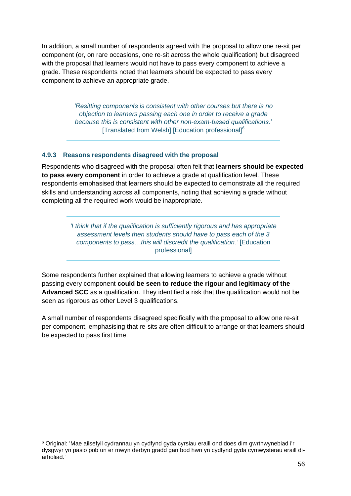In addition, a small number of respondents agreed with the proposal to allow one re-sit per component (or, on rare occasions, one re-sit across the whole qualification) but disagreed with the proposal that learners would not have to pass every component to achieve a grade. These respondents noted that learners should be expected to pass every component to achieve an appropriate grade.

> *'Resitting components is consistent with other courses but there is no objection to learners passing each one in order to receive a grade because this is consistent with other non-exam-based qualifications.'* [Translated from Welsh] [Education professional]*<sup>6</sup>*

#### **4.9.3 Reasons respondents disagreed with the proposal**

Respondents who disagreed with the proposal often felt that **learners should be expected to pass every component** in order to achieve a grade at qualification level. These respondents emphasised that learners should be expected to demonstrate all the required skills and understanding across all components, noting that achieving a grade without completing all the required work would be inappropriate.

> *'I think that if the qualification is sufficiently rigorous and has appropriate assessment levels then students should have to pass each of the 3 components to pass…this will discredit the qualification.'* [Education professional]

Some respondents further explained that allowing learners to achieve a grade without passing every component **could be seen to reduce the rigour and legitimacy of the Advanced SCC** as a qualification. They identified a risk that the qualification would not be seen as rigorous as other Level 3 qualifications.

A small number of respondents disagreed specifically with the proposal to allow one re-sit per component, emphasising that re-sits are often difficult to arrange or that learners should be expected to pass first time.

<sup>6</sup> Original: 'Mae ailsefyll cydrannau yn cydfynd gyda cyrsiau eraill ond does dim gwrthwynebiad i'r dysgwyr yn pasio pob un er mwyn derbyn gradd gan bod hwn yn cydfynd gyda cymwysterau eraill diarholiad.'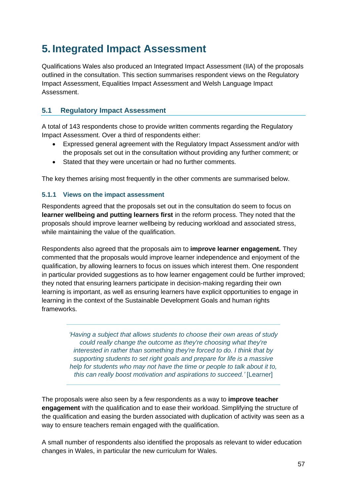# <span id="page-56-0"></span>**5. Integrated Impact Assessment**

Qualifications Wales also produced an Integrated Impact Assessment (IIA) of the proposals outlined in the consultation. This section summarises respondent views on the Regulatory Impact Assessment, Equalities Impact Assessment and Welsh Language Impact Assessment.

# <span id="page-56-1"></span>**5.1 Regulatory Impact Assessment**

A total of 143 respondents chose to provide written comments regarding the Regulatory Impact Assessment. Over a third of respondents either:

- Expressed general agreement with the Regulatory Impact Assessment and/or with the proposals set out in the consultation without providing any further comment; or
- Stated that they were uncertain or had no further comments.

The key themes arising most frequently in the other comments are summarised below.

### **5.1.1 Views on the impact assessment**

Respondents agreed that the proposals set out in the consultation do seem to focus on **learner wellbeing and putting learners first** in the reform process. They noted that the proposals should improve learner wellbeing by reducing workload and associated stress, while maintaining the value of the qualification.

Respondents also agreed that the proposals aim to **improve learner engagement.** They commented that the proposals would improve learner independence and enjoyment of the qualification, by allowing learners to focus on issues which interest them. One respondent in particular provided suggestions as to how learner engagement could be further improved; they noted that ensuring learners participate in decision-making regarding their own learning is important, as well as ensuring learners have explicit opportunities to engage in learning in the context of the Sustainable Development Goals and human rights frameworks.

> *'Having a subject that allows students to choose their own areas of study could really change the outcome as they're choosing what they're interested in rather than something they're forced to do. I think that by supporting students to set right goals and prepare for life is a massive help for students who may not have the time or people to talk about it to, this can really boost motivation and aspirations to succeed.'* [Learner]

The proposals were also seen by a few respondents as a way to **improve teacher engagement** with the qualification and to ease their workload. Simplifying the structure of the qualification and easing the burden associated with duplication of activity was seen as a way to ensure teachers remain engaged with the qualification.

A small number of respondents also identified the proposals as relevant to wider education changes in Wales, in particular the new curriculum for Wales.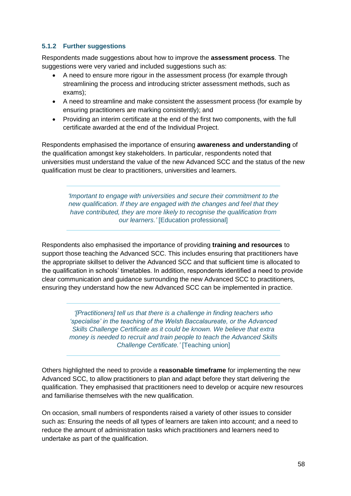### **5.1.2 Further suggestions**

Respondents made suggestions about how to improve the **assessment process**. The suggestions were very varied and included suggestions such as:

- A need to ensure more rigour in the assessment process (for example through streamlining the process and introducing stricter assessment methods, such as exams);
- A need to streamline and make consistent the assessment process (for example by ensuring practitioners are marking consistently); and
- Providing an interim certificate at the end of the first two components, with the full certificate awarded at the end of the Individual Project.

Respondents emphasised the importance of ensuring **awareness and understanding** of the qualification amongst key stakeholders. In particular, respondents noted that universities must understand the value of the new Advanced SCC and the status of the new qualification must be clear to practitioners, universities and learners.

> *'Important to engage with universities and secure their commitment to the new qualification. If they are engaged with the changes and feel that they have contributed, they are more likely to recognise the qualification from our learners.'* [Education professional]

Respondents also emphasised the importance of providing **training and resources** to support those teaching the Advanced SCC. This includes ensuring that practitioners have the appropriate skillset to deliver the Advanced SCC and that sufficient time is allocated to the qualification in schools' timetables. In addition, respondents identified a need to provide clear communication and guidance surrounding the new Advanced SCC to practitioners, ensuring they understand how the new Advanced SCC can be implemented in practice.

> *'[Practitioners] tell us that there is a challenge in finding teachers who 'specialise' in the teaching of the Welsh Baccalaureate, or the Advanced Skills Challenge Certificate as it could be known. We believe that extra money is needed to recruit and train people to teach the Advanced Skills Challenge Certificate.'* [Teaching union]

Others highlighted the need to provide a **reasonable timeframe** for implementing the new Advanced SCC, to allow practitioners to plan and adapt before they start delivering the qualification. They emphasised that practitioners need to develop or acquire new resources and familiarise themselves with the new qualification.

On occasion, small numbers of respondents raised a variety of other issues to consider such as: Ensuring the needs of all types of learners are taken into account; and a need to reduce the amount of administration tasks which practitioners and learners need to undertake as part of the qualification.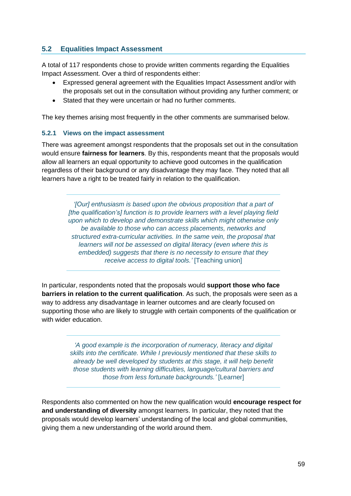# <span id="page-58-0"></span>**5.2 Equalities Impact Assessment**

A total of 117 respondents chose to provide written comments regarding the Equalities Impact Assessment. Over a third of respondents either:

- Expressed general agreement with the Equalities Impact Assessment and/or with the proposals set out in the consultation without providing any further comment; or
- Stated that they were uncertain or had no further comments.

The key themes arising most frequently in the other comments are summarised below.

#### **5.2.1 Views on the impact assessment**

There was agreement amongst respondents that the proposals set out in the consultation would ensure **fairness for learners**. By this, respondents meant that the proposals would allow all learners an equal opportunity to achieve good outcomes in the qualification regardless of their background or any disadvantage they may face. They noted that all learners have a right to be treated fairly in relation to the qualification.

> *'[Our] enthusiasm is based upon the obvious proposition that a part of [the qualification's] function is to provide learners with a level playing field upon which to develop and demonstrate skills which might otherwise only be available to those who can access placements, networks and structured extra-curricular activities. In the same vein, the proposal that learners will not be assessed on digital literacy (even where this is embedded) suggests that there is no necessity to ensure that they receive access to digital tools.'* [Teaching union]

In particular, respondents noted that the proposals would **support those who face barriers in relation to the current qualification**. As such, the proposals were seen as a way to address any disadvantage in learner outcomes and are clearly focused on supporting those who are likely to struggle with certain components of the qualification or with wider education.

> *'A good example is the incorporation of numeracy, literacy and digital skills into the certificate. While I previously mentioned that these skills to already be well developed by students at this stage, it will help benefit those students with learning difficulties, language/cultural barriers and those from less fortunate backgrounds.'* [Learner]

Respondents also commented on how the new qualification would **encourage respect for and understanding of diversity** amongst learners. In particular, they noted that the proposals would develop learners' understanding of the local and global communities, giving them a new understanding of the world around them.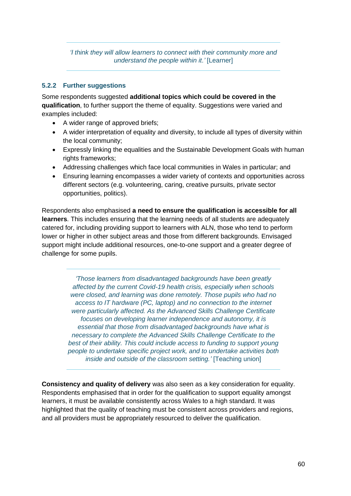*'I think they will allow learners to connect with their community more and understand the people within it.'* [Learner]

#### **5.2.2 Further suggestions**

Some respondents suggested **additional topics which could be covered in the qualification**, to further support the theme of equality. Suggestions were varied and examples included:

- A wider range of approved briefs;
- A wider interpretation of equality and diversity, to include all types of diversity within the local community;
- Expressly linking the equalities and the Sustainable Development Goals with human rights frameworks;
- Addressing challenges which face local communities in Wales in particular; and
- Ensuring learning encompasses a wider variety of contexts and opportunities across different sectors (e.g. volunteering, caring, creative pursuits, private sector opportunities, politics).

Respondents also emphasised **a need to ensure the qualification is accessible for all learners**. This includes ensuring that the learning needs of all students are adequately catered for, including providing support to learners with ALN, those who tend to perform lower or higher in other subject areas and those from different backgrounds. Envisaged support might include additional resources, one-to-one support and a greater degree of challenge for some pupils.

> *'Those learners from disadvantaged backgrounds have been greatly affected by the current Covid-19 health crisis, especially when schools were closed, and learning was done remotely. Those pupils who had no access to IT hardware (PC, laptop) and no connection to the internet were particularly affected. As the Advanced Skills Challenge Certificate focuses on developing learner independence and autonomy, it is essential that those from disadvantaged backgrounds have what is necessary to complete the Advanced Skills Challenge Certificate to the*  best of their ability. This could include access to funding to support young *people to undertake specific project work, and to undertake activities both inside and outside of the classroom setting.'* [Teaching union]

**Consistency and quality of delivery** was also seen as a key consideration for equality. Respondents emphasised that in order for the qualification to support equality amongst learners, it must be available consistently across Wales to a high standard. It was highlighted that the quality of teaching must be consistent across providers and regions, and all providers must be appropriately resourced to deliver the qualification.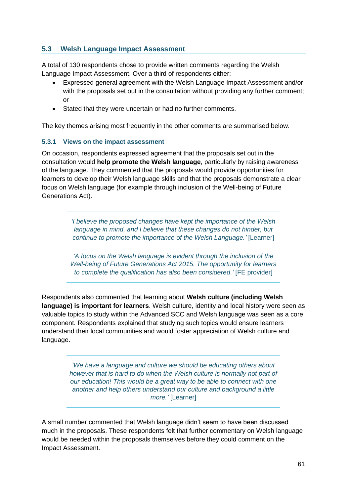# <span id="page-60-0"></span>**5.3 Welsh Language Impact Assessment**

A total of 130 respondents chose to provide written comments regarding the Welsh Language Impact Assessment. Over a third of respondents either:

- Expressed general agreement with the Welsh Language Impact Assessment and/or with the proposals set out in the consultation without providing any further comment; or
- Stated that they were uncertain or had no further comments.

The key themes arising most frequently in the other comments are summarised below.

#### **5.3.1 Views on the impact assessment**

On occasion, respondents expressed agreement that the proposals set out in the consultation would **help promote the Welsh language**, particularly by raising awareness of the language. They commented that the proposals would provide opportunities for learners to develop their Welsh language skills and that the proposals demonstrate a clear focus on Welsh language (for example through inclusion of the Well-being of Future Generations Act).

> *'I believe the proposed changes have kept the importance of the Welsh language in mind, and I believe that these changes do not hinder, but continue to promote the importance of the Welsh Language.'* [Learner]

> *'A focus on the Welsh language is evident through the inclusion of the Well-being of Future Generations Act 2015. The opportunity for learners to complete the qualification has also been considered.'* [FE provider]

Respondents also commented that learning about **Welsh culture (including Welsh language) is important for learners**. Welsh culture, identity and local history were seen as valuable topics to study within the Advanced SCC and Welsh language was seen as a core component. Respondents explained that studying such topics would ensure learners understand their local communities and would foster appreciation of Welsh culture and language.

> *'We have a language and culture we should be educating others about however that is hard to do when the Welsh culture is normally not part of our education! This would be a great way to be able to connect with one another and help others understand our culture and background a little more.'* [Learner]

A small number commented that Welsh language didn't seem to have been discussed much in the proposals. These respondents felt that further commentary on Welsh language would be needed within the proposals themselves before they could comment on the Impact Assessment.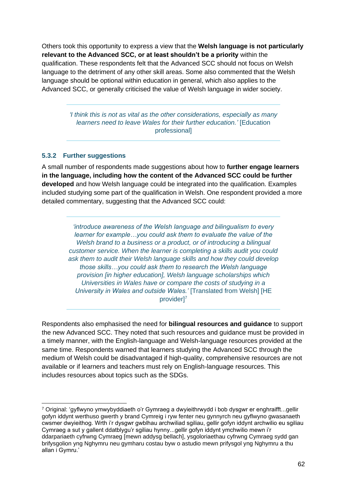Others took this opportunity to express a view that the **Welsh language is not particularly relevant to the Advanced SCC, or at least shouldn't be a priority** within the qualification. These respondents felt that the Advanced SCC should not focus on Welsh language to the detriment of any other skill areas. Some also commented that the Welsh language should be optional within education in general, which also applies to the Advanced SCC, or generally criticised the value of Welsh language in wider society.

> *'I think this is not as vital as the other considerations, especially as many learners need to leave Wales for their further education.'* [Education professional]

#### **5.3.2 Further suggestions**

A small number of respondents made suggestions about how to **further engage learners in the language, including how the content of the Advanced SCC could be further developed** and how Welsh language could be integrated into the qualification. Examples included studying some part of the qualification in Welsh. One respondent provided a more detailed commentary, suggesting that the Advanced SCC could:

> *'introduce awareness of the Welsh language and bilingualism to every learner for example…you could ask them to evaluate the value of the Welsh brand to a business or a product, or of introducing a bilingual customer service. When the learner is completing a skills audit you could ask them to audit their Welsh language skills and how they could develop those skills…you could ask them to research the Welsh language provision [in higher education], Welsh language scholarships which Universities in Wales have or compare the costs of studying in a University in Wales and outside Wales.'* [Translated from Welsh] [HE provider]<sup>7</sup>

Respondents also emphasised the need for **bilingual resources and guidance** to support the new Advanced SCC. They noted that such resources and guidance must be provided in a timely manner, with the English-language and Welsh-language resources provided at the same time. Respondents warned that learners studying the Advanced SCC through the medium of Welsh could be disadvantaged if high-quality, comprehensive resources are not available or if learners and teachers must rely on English-language resources. This includes resources about topics such as the SDGs.

<sup>7</sup> Original: 'gyflwyno ymwybyddiaeth o'r Gymraeg a dwyieithrwydd i bob dysgwr er enghraifft...gellir gofyn iddynt werthuso gwerth y brand Cymreig i ryw fenter neu gynnyrch neu gyflwyno gwasanaeth cwsmer dwyieithog. Wrth i'r dysgwr gwblhau archwiliad sgiliau, gellir gofyn iddynt archwilio eu sgiliau Cymraeg a sut y gallent ddatblygu'r sgiliau hynny...gellir gofyn iddynt ymchwilio mewn i'r ddarpariaeth cyfrwng Cymraeg [mewn addysg bellach], ysgoloriaethau cyfrwng Cymraeg sydd gan brifysgolion yng Nghymru neu gymharu costau byw o astudio mewn prifysgol yng Nghymru a thu allan i Gymru.'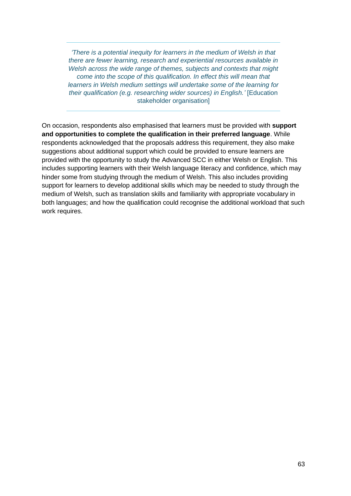*'There is a potential inequity for learners in the medium of Welsh in that there are fewer learning, research and experiential resources available in Welsh across the wide range of themes, subjects and contexts that might come into the scope of this qualification. In effect this will mean that learners in Welsh medium settings will undertake some of the learning for their qualification (e.g. researching wider sources) in English.'* [Education stakeholder organisation]

On occasion, respondents also emphasised that learners must be provided with **support and opportunities to complete the qualification in their preferred language**. While respondents acknowledged that the proposals address this requirement, they also make suggestions about additional support which could be provided to ensure learners are provided with the opportunity to study the Advanced SCC in either Welsh or English. This includes supporting learners with their Welsh language literacy and confidence, which may hinder some from studying through the medium of Welsh. This also includes providing support for learners to develop additional skills which may be needed to study through the medium of Welsh, such as translation skills and familiarity with appropriate vocabulary in both languages; and how the qualification could recognise the additional workload that such work requires.